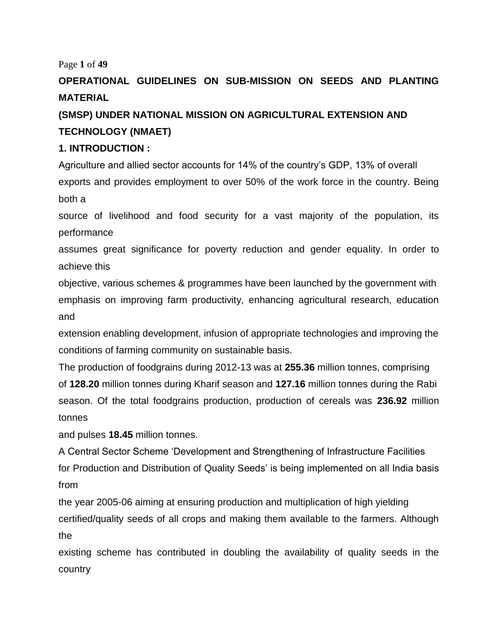#### Page **1** of **49**

# **OPERATIONAL GUIDELINES ON SUB-MISSION ON SEEDS AND PLANTING MATERIAL**

# **(SMSP) UNDER NATIONAL MISSION ON AGRICULTURAL EXTENSION AND TECHNOLOGY (NMAET)**

#### **1. INTRODUCTION :**

Agriculture and allied sector accounts for 14% of the country's GDP, 13% of overall exports and provides employment to over 50% of the work force in the country. Being both a

source of livelihood and food security for a vast majority of the population, its performance

assumes great significance for poverty reduction and gender equality. In order to achieve this

objective, various schemes & programmes have been launched by the government with emphasis on improving farm productivity, enhancing agricultural research, education and

extension enabling development, infusion of appropriate technologies and improving the conditions of farming community on sustainable basis.

The production of foodgrains during 2012-13 was at **255.36** million tonnes, comprising of **128.20** million tonnes during Kharif season and **127.16** million tonnes during the Rabi season. Of the total foodgrains production, production of cereals was **236.92** million tonnes

and pulses **18.45** million tonnes.

A Central Sector Scheme 'Development and Strengthening of Infrastructure Facilities for Production and Distribution of Quality Seeds' is being implemented on all India basis from

the year 2005-06 aiming at ensuring production and multiplication of high yielding certified/quality seeds of all crops and making them available to the farmers. Although the

existing scheme has contributed in doubling the availability of quality seeds in the country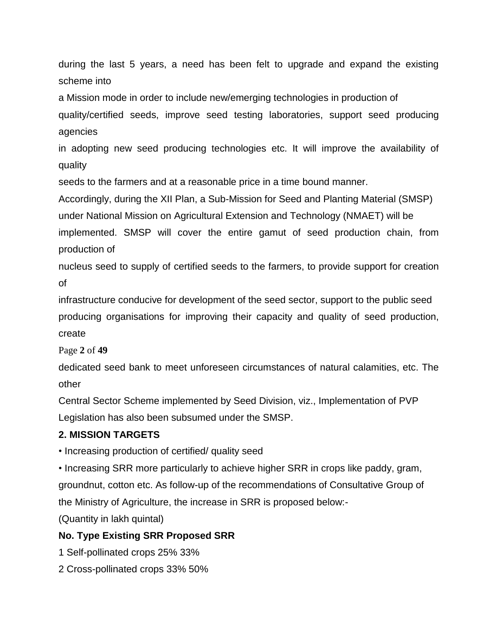during the last 5 years, a need has been felt to upgrade and expand the existing scheme into

a Mission mode in order to include new/emerging technologies in production of quality/certified seeds, improve seed testing laboratories, support seed producing agencies

in adopting new seed producing technologies etc. It will improve the availability of quality

seeds to the farmers and at a reasonable price in a time bound manner.

Accordingly, during the XII Plan, a Sub-Mission for Seed and Planting Material (SMSP) under National Mission on Agricultural Extension and Technology (NMAET) will be implemented. SMSP will cover the entire gamut of seed production chain, from production of

nucleus seed to supply of certified seeds to the farmers, to provide support for creation of

infrastructure conducive for development of the seed sector, support to the public seed producing organisations for improving their capacity and quality of seed production, create

Page **2** of **49**

dedicated seed bank to meet unforeseen circumstances of natural calamities, etc. The other

Central Sector Scheme implemented by Seed Division, viz., Implementation of PVP Legislation has also been subsumed under the SMSP.

#### **2. MISSION TARGETS**

• Increasing production of certified/ quality seed

• Increasing SRR more particularly to achieve higher SRR in crops like paddy, gram, groundnut, cotton etc. As follow-up of the recommendations of Consultative Group of the Ministry of Agriculture, the increase in SRR is proposed below:-

(Quantity in lakh quintal)

#### **No. Type Existing SRR Proposed SRR**

1 Self-pollinated crops 25% 33%

2 Cross-pollinated crops 33% 50%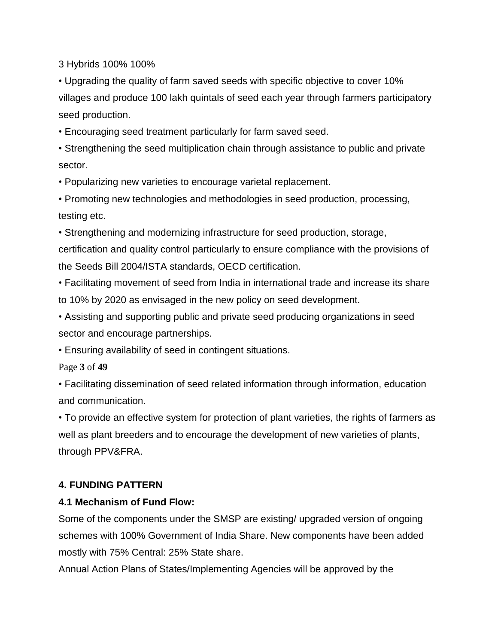3 Hybrids 100% 100%

• Upgrading the quality of farm saved seeds with specific objective to cover 10% villages and produce 100 lakh quintals of seed each year through farmers participatory seed production.

• Encouraging seed treatment particularly for farm saved seed.

• Strengthening the seed multiplication chain through assistance to public and private sector.

• Popularizing new varieties to encourage varietal replacement.

• Promoting new technologies and methodologies in seed production, processing, testing etc.

• Strengthening and modernizing infrastructure for seed production, storage, certification and quality control particularly to ensure compliance with the provisions of the Seeds Bill 2004/ISTA standards, OECD certification.

• Facilitating movement of seed from India in international trade and increase its share to 10% by 2020 as envisaged in the new policy on seed development.

• Assisting and supporting public and private seed producing organizations in seed sector and encourage partnerships.

• Ensuring availability of seed in contingent situations.

Page **3** of **49**

• Facilitating dissemination of seed related information through information, education and communication.

• To provide an effective system for protection of plant varieties, the rights of farmers as well as plant breeders and to encourage the development of new varieties of plants, through PPV&FRA.

# **4. FUNDING PATTERN**

#### **4.1 Mechanism of Fund Flow:**

Some of the components under the SMSP are existing/ upgraded version of ongoing schemes with 100% Government of India Share. New components have been added mostly with 75% Central: 25% State share.

Annual Action Plans of States/Implementing Agencies will be approved by the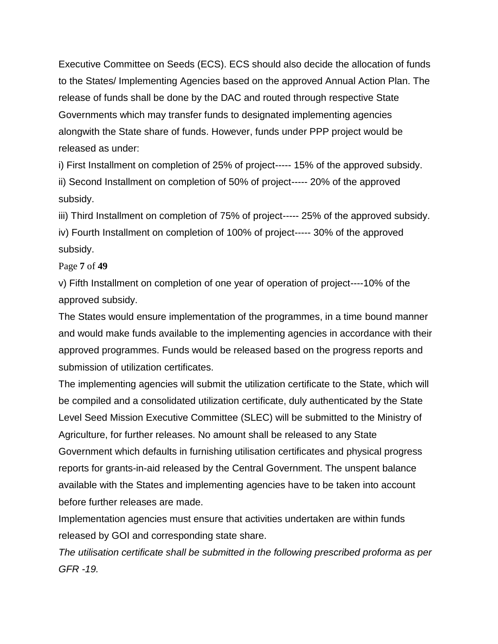Executive Committee on Seeds (ECS). ECS should also decide the allocation of funds to the States/ Implementing Agencies based on the approved Annual Action Plan. The release of funds shall be done by the DAC and routed through respective State Governments which may transfer funds to designated implementing agencies alongwith the State share of funds. However, funds under PPP project would be released as under:

i) First Installment on completion of 25% of project----- 15% of the approved subsidy. ii) Second Installment on completion of 50% of project----- 20% of the approved subsidy.

iii) Third Installment on completion of 75% of project----- 25% of the approved subsidy.

iv) Fourth Installment on completion of 100% of project----- 30% of the approved subsidy.

#### Page **7** of **49**

v) Fifth Installment on completion of one year of operation of project----10% of the approved subsidy.

The States would ensure implementation of the programmes, in a time bound manner and would make funds available to the implementing agencies in accordance with their approved programmes. Funds would be released based on the progress reports and submission of utilization certificates.

The implementing agencies will submit the utilization certificate to the State, which will be compiled and a consolidated utilization certificate, duly authenticated by the State Level Seed Mission Executive Committee (SLEC) will be submitted to the Ministry of Agriculture, for further releases. No amount shall be released to any State Government which defaults in furnishing utilisation certificates and physical progress reports for grants-in-aid released by the Central Government. The unspent balance available with the States and implementing agencies have to be taken into account before further releases are made.

Implementation agencies must ensure that activities undertaken are within funds released by GOI and corresponding state share.

*The utilisation certificate shall be submitted in the following prescribed proforma as per GFR -19.*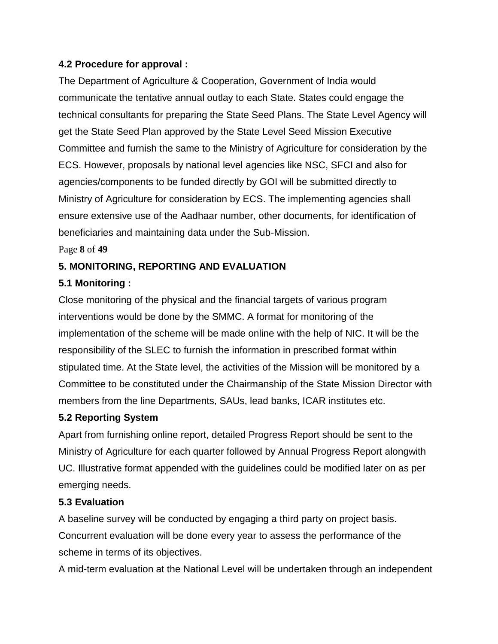#### **4.2 Procedure for approval :**

The Department of Agriculture & Cooperation, Government of India would communicate the tentative annual outlay to each State. States could engage the technical consultants for preparing the State Seed Plans. The State Level Agency will get the State Seed Plan approved by the State Level Seed Mission Executive Committee and furnish the same to the Ministry of Agriculture for consideration by the ECS. However, proposals by national level agencies like NSC, SFCI and also for agencies/components to be funded directly by GOI will be submitted directly to Ministry of Agriculture for consideration by ECS. The implementing agencies shall ensure extensive use of the Aadhaar number, other documents, for identification of beneficiaries and maintaining data under the Sub-Mission.

Page **8** of **49**

#### **5. MONITORING, REPORTING AND EVALUATION**

#### **5.1 Monitoring :**

Close monitoring of the physical and the financial targets of various program interventions would be done by the SMMC. A format for monitoring of the implementation of the scheme will be made online with the help of NIC. It will be the responsibility of the SLEC to furnish the information in prescribed format within stipulated time. At the State level, the activities of the Mission will be monitored by a Committee to be constituted under the Chairmanship of the State Mission Director with members from the line Departments, SAUs, lead banks, ICAR institutes etc.

#### **5.2 Reporting System**

Apart from furnishing online report, detailed Progress Report should be sent to the Ministry of Agriculture for each quarter followed by Annual Progress Report alongwith UC. Illustrative format appended with the guidelines could be modified later on as per emerging needs.

#### **5.3 Evaluation**

A baseline survey will be conducted by engaging a third party on project basis. Concurrent evaluation will be done every year to assess the performance of the scheme in terms of its objectives.

A mid-term evaluation at the National Level will be undertaken through an independent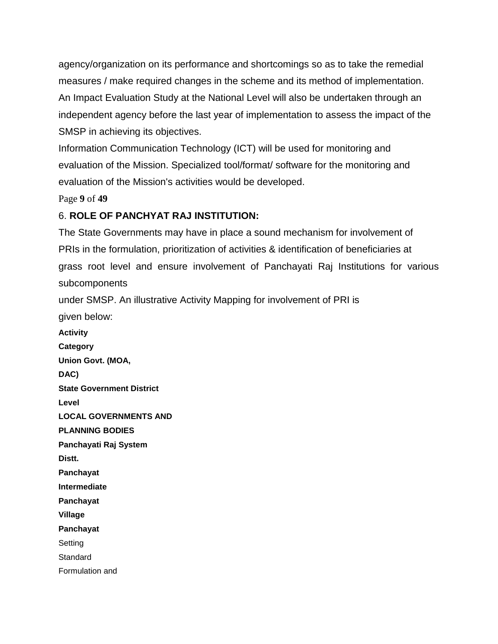agency/organization on its performance and shortcomings so as to take the remedial measures / make required changes in the scheme and its method of implementation. An Impact Evaluation Study at the National Level will also be undertaken through an independent agency before the last year of implementation to assess the impact of the SMSP in achieving its objectives.

Information Communication Technology (ICT) will be used for monitoring and evaluation of the Mission. Specialized tool/format/ software for the monitoring and evaluation of the Mission's activities would be developed.

Page **9** of **49**

## 6. **ROLE OF PANCHYAT RAJ INSTITUTION:**

The State Governments may have in place a sound mechanism for involvement of PRIs in the formulation, prioritization of activities & identification of beneficiaries at grass root level and ensure involvement of Panchayati Raj Institutions for various subcomponents under SMSP. An illustrative Activity Mapping for involvement of PRI is given below: **Activity Category Union Govt. (MOA, DAC) State Government District Level LOCAL GOVERNMENTS AND PLANNING BODIES Panchayati Raj System Distt. Panchayat Intermediate Panchayat Village Panchayat** Setting **Standard** 

Formulation and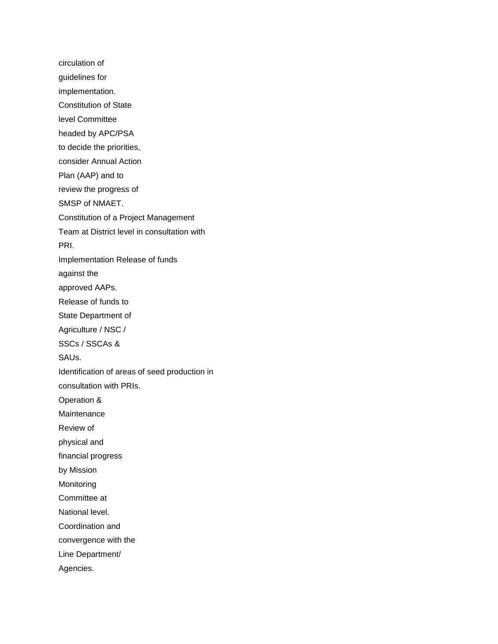circulation of guidelines for implementation. Constitution of State level Committee headed by APC/PSA to decide the priorities, consider Annual Action Plan (AAP) and to review the progress of SMSP of NMAET. Constitution of a Project Management Team at District level in consultation with PRI. Implementation Release of funds against the approved AAPs. Release of funds to State Department of Agriculture / NSC / SSCs / SSCAs & SAUs. Identification of areas of seed production in consultation with PRIs. Operation & **Maintenance** Review of physical and financial progress by Mission Monitoring Committee at National level. Coordination and convergence with the Line Department/ Agencies.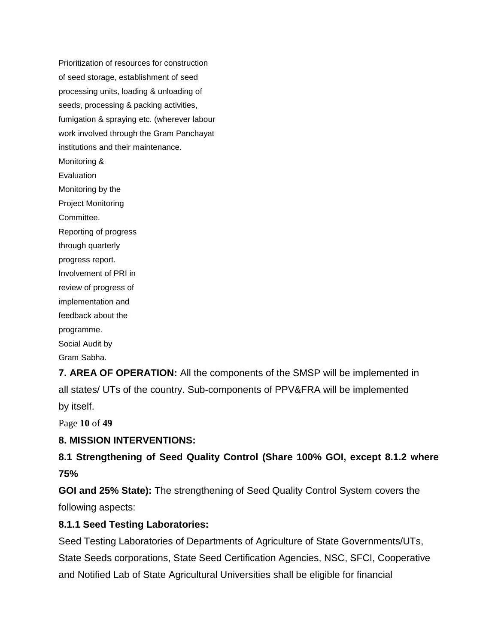Prioritization of resources for construction of seed storage, establishment of seed processing units, loading & unloading of seeds, processing & packing activities, fumigation & spraying etc. (wherever labour work involved through the Gram Panchayat institutions and their maintenance. Monitoring & **Evaluation** Monitoring by the Project Monitoring Committee. Reporting of progress through quarterly progress report. Involvement of PRI in review of progress of implementation and feedback about the programme. Social Audit by Gram Sabha.

**7. AREA OF OPERATION:** All the components of the SMSP will be implemented in all states/ UTs of the country. Sub-components of PPV&FRA will be implemented by itself.

Page **10** of **49**

# **8. MISSION INTERVENTIONS:**

# **8.1 Strengthening of Seed Quality Control (Share 100% GOI, except 8.1.2 where 75%**

**GOI and 25% State):** The strengthening of Seed Quality Control System covers the following aspects:

#### **8.1.1 Seed Testing Laboratories:**

Seed Testing Laboratories of Departments of Agriculture of State Governments/UTs, State Seeds corporations, State Seed Certification Agencies, NSC, SFCI, Cooperative and Notified Lab of State Agricultural Universities shall be eligible for financial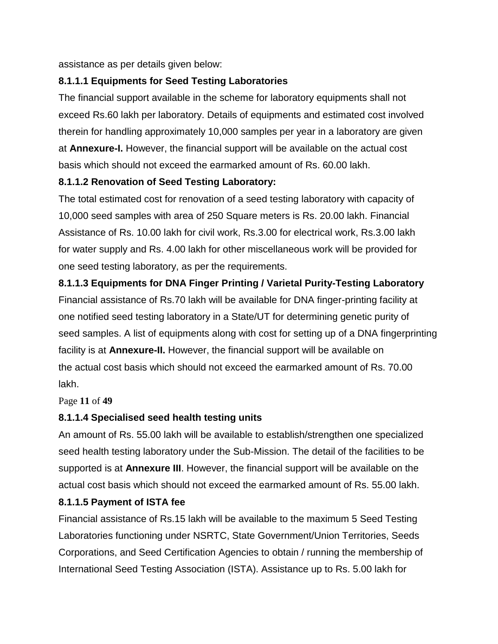assistance as per details given below:

## **8.1.1.1 Equipments for Seed Testing Laboratories**

The financial support available in the scheme for laboratory equipments shall not exceed Rs.60 lakh per laboratory. Details of equipments and estimated cost involved therein for handling approximately 10,000 samples per year in a laboratory are given at **Annexure-I.** However, the financial support will be available on the actual cost basis which should not exceed the earmarked amount of Rs. 60.00 lakh.

#### **8.1.1.2 Renovation of Seed Testing Laboratory:**

The total estimated cost for renovation of a seed testing laboratory with capacity of 10,000 seed samples with area of 250 Square meters is Rs. 20.00 lakh. Financial Assistance of Rs. 10.00 lakh for civil work, Rs.3.00 for electrical work, Rs.3.00 lakh for water supply and Rs. 4.00 lakh for other miscellaneous work will be provided for one seed testing laboratory, as per the requirements.

# **8.1.1.3 Equipments for DNA Finger Printing / Varietal Purity-Testing Laboratory**

Financial assistance of Rs.70 lakh will be available for DNA finger-printing facility at one notified seed testing laboratory in a State/UT for determining genetic purity of seed samples. A list of equipments along with cost for setting up of a DNA fingerprinting facility is at **Annexure-II.** However, the financial support will be available on the actual cost basis which should not exceed the earmarked amount of Rs. 70.00 lakh.

#### Page **11** of **49**

# **8.1.1.4 Specialised seed health testing units**

An amount of Rs. 55.00 lakh will be available to establish/strengthen one specialized seed health testing laboratory under the Sub-Mission. The detail of the facilities to be supported is at **Annexure III**. However, the financial support will be available on the actual cost basis which should not exceed the earmarked amount of Rs. 55.00 lakh.

# **8.1.1.5 Payment of ISTA fee**

Financial assistance of Rs.15 lakh will be available to the maximum 5 Seed Testing Laboratories functioning under NSRTC, State Government/Union Territories, Seeds Corporations, and Seed Certification Agencies to obtain / running the membership of International Seed Testing Association (ISTA). Assistance up to Rs. 5.00 lakh for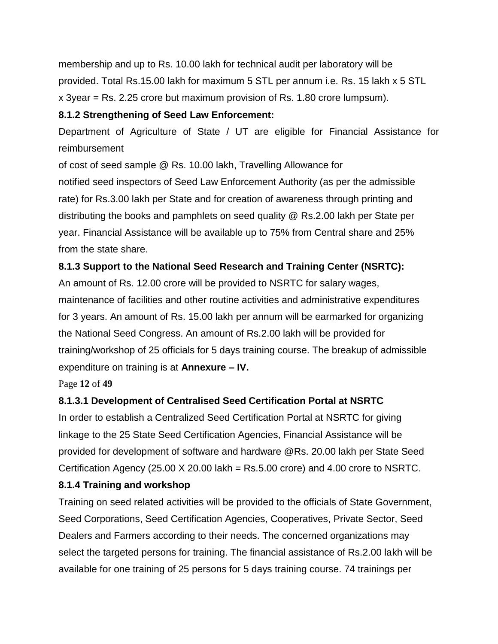membership and up to Rs. 10.00 lakh for technical audit per laboratory will be provided. Total Rs.15.00 lakh for maximum 5 STL per annum i.e. Rs. 15 lakh x 5 STL x 3year = Rs. 2.25 crore but maximum provision of Rs. 1.80 crore lumpsum).

## **8.1.2 Strengthening of Seed Law Enforcement:**

Department of Agriculture of State / UT are eligible for Financial Assistance for reimbursement

of cost of seed sample @ Rs. 10.00 lakh, Travelling Allowance for notified seed inspectors of Seed Law Enforcement Authority (as per the admissible rate) for Rs.3.00 lakh per State and for creation of awareness through printing and distributing the books and pamphlets on seed quality @ Rs.2.00 lakh per State per year. Financial Assistance will be available up to 75% from Central share and 25% from the state share.

# **8.1.3 Support to the National Seed Research and Training Center (NSRTC):**

An amount of Rs. 12.00 crore will be provided to NSRTC for salary wages, maintenance of facilities and other routine activities and administrative expenditures for 3 years. An amount of Rs. 15.00 lakh per annum will be earmarked for organizing the National Seed Congress. An amount of Rs.2.00 lakh will be provided for training/workshop of 25 officials for 5 days training course. The breakup of admissible expenditure on training is at **Annexure – IV.**

Page **12** of **49**

# **8.1.3.1 Development of Centralised Seed Certification Portal at NSRTC**

In order to establish a Centralized Seed Certification Portal at NSRTC for giving linkage to the 25 State Seed Certification Agencies, Financial Assistance will be provided for development of software and hardware @Rs. 20.00 lakh per State Seed Certification Agency (25.00  $X$  20.00 lakh = Rs.5.00 crore) and 4.00 crore to NSRTC.

# **8.1.4 Training and workshop**

Training on seed related activities will be provided to the officials of State Government, Seed Corporations, Seed Certification Agencies, Cooperatives, Private Sector, Seed Dealers and Farmers according to their needs. The concerned organizations may select the targeted persons for training. The financial assistance of Rs.2.00 lakh will be available for one training of 25 persons for 5 days training course. 74 trainings per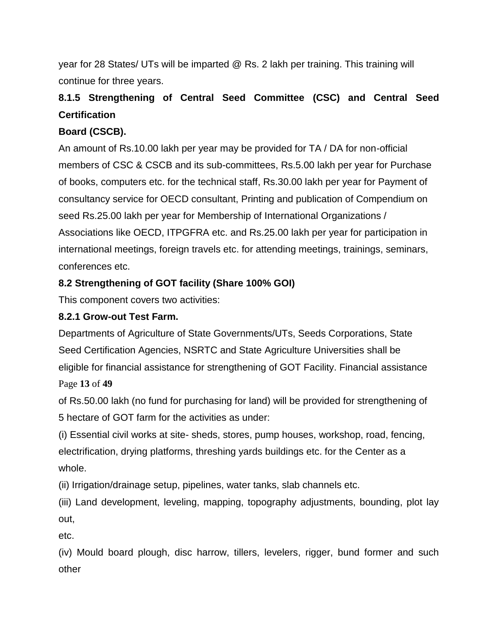year for 28 States/ UTs will be imparted @ Rs. 2 lakh per training. This training will continue for three years.

# **8.1.5 Strengthening of Central Seed Committee (CSC) and Central Seed Certification**

# **Board (CSCB).**

An amount of Rs.10.00 lakh per year may be provided for TA / DA for non-official members of CSC & CSCB and its sub-committees, Rs.5.00 lakh per year for Purchase of books, computers etc. for the technical staff, Rs.30.00 lakh per year for Payment of consultancy service for OECD consultant, Printing and publication of Compendium on seed Rs.25.00 lakh per year for Membership of International Organizations / Associations like OECD, ITPGFRA etc. and Rs.25.00 lakh per year for participation in international meetings, foreign travels etc. for attending meetings, trainings, seminars, conferences etc.

# **8.2 Strengthening of GOT facility (Share 100% GOI)**

This component covers two activities:

# **8.2.1 Grow-out Test Farm.**

Departments of Agriculture of State Governments/UTs, Seeds Corporations, State Seed Certification Agencies, NSRTC and State Agriculture Universities shall be eligible for financial assistance for strengthening of GOT Facility. Financial assistance Page **13** of **49**

of Rs.50.00 lakh (no fund for purchasing for land) will be provided for strengthening of 5 hectare of GOT farm for the activities as under:

(i) Essential civil works at site- sheds, stores, pump houses, workshop, road, fencing, electrification, drying platforms, threshing yards buildings etc. for the Center as a whole.

(ii) Irrigation/drainage setup, pipelines, water tanks, slab channels etc.

(iii) Land development, leveling, mapping, topography adjustments, bounding, plot lay out,

etc.

(iv) Mould board plough, disc harrow, tillers, levelers, rigger, bund former and such other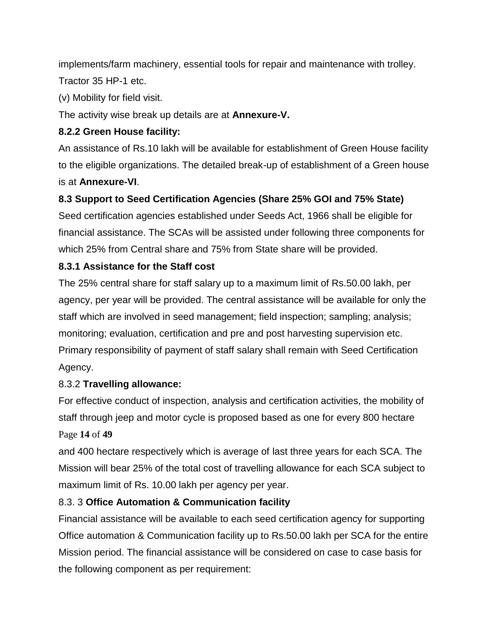implements/farm machinery, essential tools for repair and maintenance with trolley. Tractor 35 HP-1 etc.

(v) Mobility for field visit.

The activity wise break up details are at **Annexure-V.**

# **8.2.2 Green House facility:**

An assistance of Rs.10 lakh will be available for establishment of Green House facility to the eligible organizations. The detailed break-up of establishment of a Green house is at **Annexure-VI**.

# **8.3 Support to Seed Certification Agencies (Share 25% GOI and 75% State)**

Seed certification agencies established under Seeds Act, 1966 shall be eligible for financial assistance. The SCAs will be assisted under following three components for which 25% from Central share and 75% from State share will be provided.

# **8.3.1 Assistance for the Staff cost**

The 25% central share for staff salary up to a maximum limit of Rs.50.00 lakh, per agency, per year will be provided. The central assistance will be available for only the staff which are involved in seed management; field inspection; sampling; analysis; monitoring; evaluation, certification and pre and post harvesting supervision etc. Primary responsibility of payment of staff salary shall remain with Seed Certification Agency.

# 8.3.2 **Travelling allowance:**

For effective conduct of inspection, analysis and certification activities, the mobility of staff through jeep and motor cycle is proposed based as one for every 800 hectare Page **14** of **49**

and 400 hectare respectively which is average of last three years for each SCA. The Mission will bear 25% of the total cost of travelling allowance for each SCA subject to maximum limit of Rs. 10.00 lakh per agency per year.

# 8.3. 3 **Office Automation & Communication facility**

Financial assistance will be available to each seed certification agency for supporting Office automation & Communication facility up to Rs.50.00 lakh per SCA for the entire Mission period. The financial assistance will be considered on case to case basis for the following component as per requirement: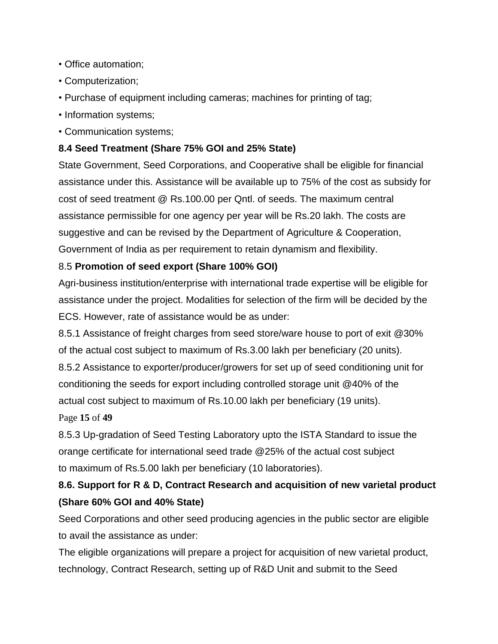- Office automation;
- Computerization;
- Purchase of equipment including cameras; machines for printing of tag;
- Information systems;
- Communication systems;

# **8.4 Seed Treatment (Share 75% GOI and 25% State)**

State Government, Seed Corporations, and Cooperative shall be eligible for financial assistance under this. Assistance will be available up to 75% of the cost as subsidy for cost of seed treatment @ Rs.100.00 per Qntl. of seeds. The maximum central assistance permissible for one agency per year will be Rs.20 lakh. The costs are suggestive and can be revised by the Department of Agriculture & Cooperation, Government of India as per requirement to retain dynamism and flexibility.

# 8.5 **Promotion of seed export (Share 100% GOI)**

Agri-business institution/enterprise with international trade expertise will be eligible for assistance under the project. Modalities for selection of the firm will be decided by the ECS. However, rate of assistance would be as under:

8.5.1 Assistance of freight charges from seed store/ware house to port of exit @30% of the actual cost subject to maximum of Rs.3.00 lakh per beneficiary (20 units).

8.5.2 Assistance to exporter/producer/growers for set up of seed conditioning unit for conditioning the seeds for export including controlled storage unit @40% of the actual cost subject to maximum of Rs.10.00 lakh per beneficiary (19 units).

Page **15** of **49**

8.5.3 Up-gradation of Seed Testing Laboratory upto the ISTA Standard to issue the orange certificate for international seed trade @25% of the actual cost subject to maximum of Rs.5.00 lakh per beneficiary (10 laboratories).

# **8.6. Support for R & D, Contract Research and acquisition of new varietal product (Share 60% GOI and 40% State)**

Seed Corporations and other seed producing agencies in the public sector are eligible to avail the assistance as under:

The eligible organizations will prepare a project for acquisition of new varietal product, technology, Contract Research, setting up of R&D Unit and submit to the Seed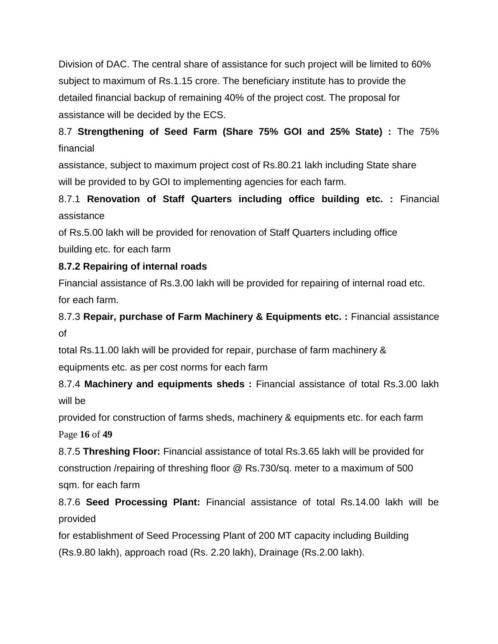Division of DAC. The central share of assistance for such project will be limited to 60% subject to maximum of Rs.1.15 crore. The beneficiary institute has to provide the detailed financial backup of remaining 40% of the project cost. The proposal for assistance will be decided by the ECS.

# 8.7 **Strengthening of Seed Farm (Share 75% GOI and 25% State) :** The 75% financial

assistance, subject to maximum project cost of Rs.80.21 lakh including State share will be provided to by GOI to implementing agencies for each farm.

# 8.7.1 **Renovation of Staff Quarters including office building etc. :** Financial assistance

of Rs.5.00 lakh will be provided for renovation of Staff Quarters including office building etc. for each farm

# **8.7.2 Repairing of internal roads**

Financial assistance of Rs.3.00 lakh will be provided for repairing of internal road etc. for each farm.

# 8.7.3 **Repair, purchase of Farm Machinery & Equipments etc. :** Financial assistance of

total Rs.11.00 lakh will be provided for repair, purchase of farm machinery & equipments etc. as per cost norms for each farm

8.7.4 **Machinery and equipments sheds :** Financial assistance of total Rs.3.00 lakh will be

provided for construction of farms sheds, machinery & equipments etc. for each farm Page **16** of **49**

8.7.5 **Threshing Floor:** Financial assistance of total Rs.3.65 lakh will be provided for construction /repairing of threshing floor @ Rs.730/sq. meter to a maximum of 500 sqm. for each farm

# 8.7.6 **Seed Processing Plant:** Financial assistance of total Rs.14.00 lakh will be provided

for establishment of Seed Processing Plant of 200 MT capacity including Building (Rs.9.80 lakh), approach road (Rs. 2.20 lakh), Drainage (Rs.2.00 lakh).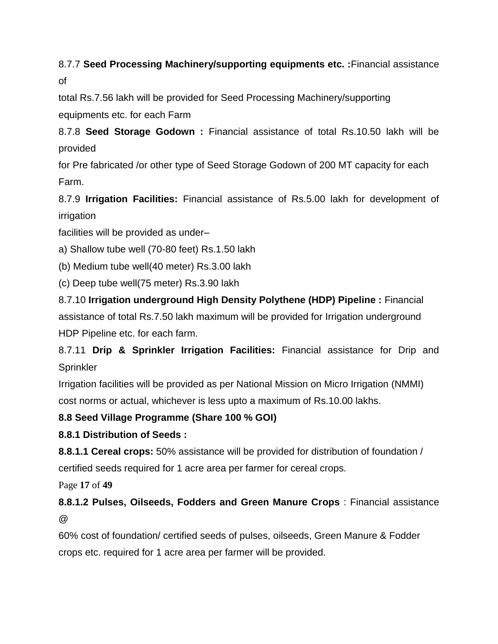# 8.7.7 **Seed Processing Machinery/supporting equipments etc. :**Financial assistance of

total Rs.7.56 lakh will be provided for Seed Processing Machinery/supporting equipments etc. for each Farm

8.7.8 **Seed Storage Godown :** Financial assistance of total Rs.10.50 lakh will be provided

for Pre fabricated /or other type of Seed Storage Godown of 200 MT capacity for each Farm.

8.7.9 **Irrigation Facilities:** Financial assistance of Rs.5.00 lakh for development of irrigation

facilities will be provided as under–

a) Shallow tube well (70-80 feet) Rs.1.50 lakh

(b) Medium tube well(40 meter) Rs.3.00 lakh

(c) Deep tube well(75 meter) Rs.3.90 lakh

8.7.10 **Irrigation underground High Density Polythene (HDP) Pipeline :** Financial assistance of total Rs.7.50 lakh maximum will be provided for Irrigation underground HDP Pipeline etc. for each farm.

8.7.11 **Drip & Sprinkler Irrigation Facilities:** Financial assistance for Drip and **Sprinkler** 

Irrigation facilities will be provided as per National Mission on Micro Irrigation (NMMI) cost norms or actual, whichever is less upto a maximum of Rs.10.00 lakhs.

# **8.8 Seed Village Programme (Share 100 % GOI)**

**8.8.1 Distribution of Seeds :**

**8.8.1.1 Cereal crops:** 50% assistance will be provided for distribution of foundation / certified seeds required for 1 acre area per farmer for cereal crops.

Page **17** of **49**

**8.8.1.2 Pulses, Oilseeds, Fodders and Green Manure Crops** : Financial assistance @

60% cost of foundation/ certified seeds of pulses, oilseeds, Green Manure & Fodder crops etc. required for 1 acre area per farmer will be provided.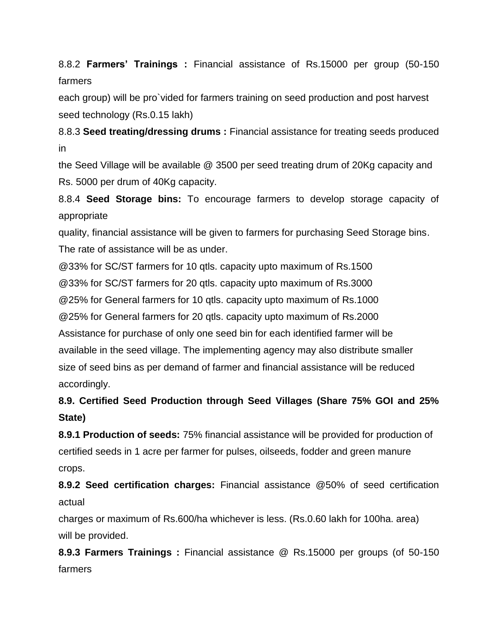8.8.2 **Farmers' Trainings :** Financial assistance of Rs.15000 per group (50-150 farmers

each group) will be pro`vided for farmers training on seed production and post harvest seed technology (Rs.0.15 lakh)

8.8.3 **Seed treating/dressing drums :** Financial assistance for treating seeds produced in

the Seed Village will be available @ 3500 per seed treating drum of 20Kg capacity and Rs. 5000 per drum of 40Kg capacity.

8.8.4 **Seed Storage bins:** To encourage farmers to develop storage capacity of appropriate

quality, financial assistance will be given to farmers for purchasing Seed Storage bins. The rate of assistance will be as under.

@33% for SC/ST farmers for 10 qtls. capacity upto maximum of Rs.1500

@33% for SC/ST farmers for 20 qtls. capacity upto maximum of Rs.3000

@25% for General farmers for 10 qtls. capacity upto maximum of Rs.1000

@25% for General farmers for 20 qtls. capacity upto maximum of Rs.2000

Assistance for purchase of only one seed bin for each identified farmer will be available in the seed village. The implementing agency may also distribute smaller size of seed bins as per demand of farmer and financial assistance will be reduced accordingly.

# **8.9. Certified Seed Production through Seed Villages (Share 75% GOI and 25% State)**

**8.9.1 Production of seeds:** 75% financial assistance will be provided for production of certified seeds in 1 acre per farmer for pulses, oilseeds, fodder and green manure crops.

**8.9.2 Seed certification charges:** Financial assistance @50% of seed certification actual

charges or maximum of Rs.600/ha whichever is less. (Rs.0.60 lakh for 100ha. area) will be provided.

**8.9.3 Farmers Trainings :** Financial assistance @ Rs.15000 per groups (of 50-150 farmers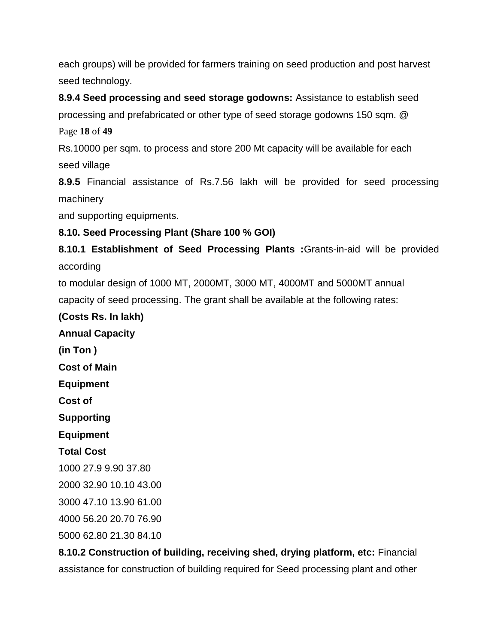each groups) will be provided for farmers training on seed production and post harvest seed technology.

**8.9.4 Seed processing and seed storage godowns:** Assistance to establish seed processing and prefabricated or other type of seed storage godowns 150 sqm. @

Page **18** of **49**

Rs.10000 per sqm. to process and store 200 Mt capacity will be available for each seed village

**8.9.5** Financial assistance of Rs.7.56 lakh will be provided for seed processing machinery

and supporting equipments.

# **8.10. Seed Processing Plant (Share 100 % GOI)**

**8.10.1 Establishment of Seed Processing Plants :**Grants-in-aid will be provided according

to modular design of 1000 MT, 2000MT, 3000 MT, 4000MT and 5000MT annual capacity of seed processing. The grant shall be available at the following rates:

## **(Costs Rs. In lakh)**

**Annual Capacity (in Ton ) Cost of Main Equipment Cost of Supporting Equipment Total Cost** 1000 27.9 9.90 37.80 2000 32.90 10.10 43.00 3000 47.10 13.90 61.00

4000 56.20 20.70 76.90

5000 62.80 21.30 84.10

**8.10.2 Construction of building, receiving shed, drying platform, etc:** Financial assistance for construction of building required for Seed processing plant and other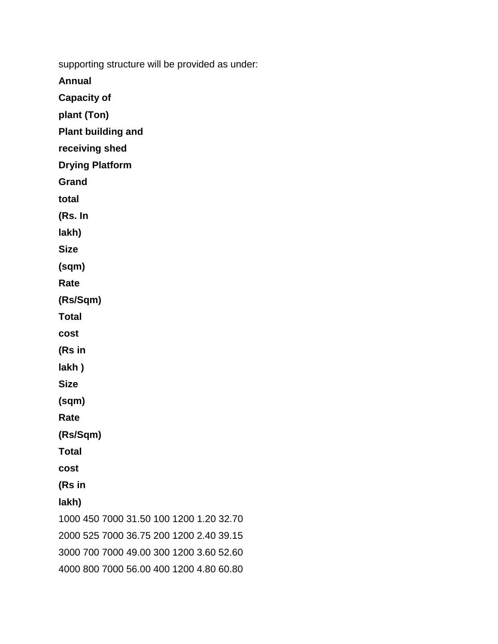supporting structure will be provided as under:

**Annual**

**Capacity of**

**plant (Ton)**

**Plant building and**

**receiving shed**

**Drying Platform**

**Grand**

**total**

**(Rs. In**

**lakh)**

**Size**

**(sqm)**

**Rate**

**(Rs/Sqm)**

**Total**

**cost**

**(Rs in**

**lakh )**

**Size**

**(sqm)**

**Rate**

**(Rs/Sqm)**

**Total**

**cost**

**(Rs in**

**lakh)**

1000 450 7000 31.50 100 1200 1.20 32.70 2000 525 7000 36.75 200 1200 2.40 39.15 3000 700 7000 49.00 300 1200 3.60 52.60 4000 800 7000 56.00 400 1200 4.80 60.80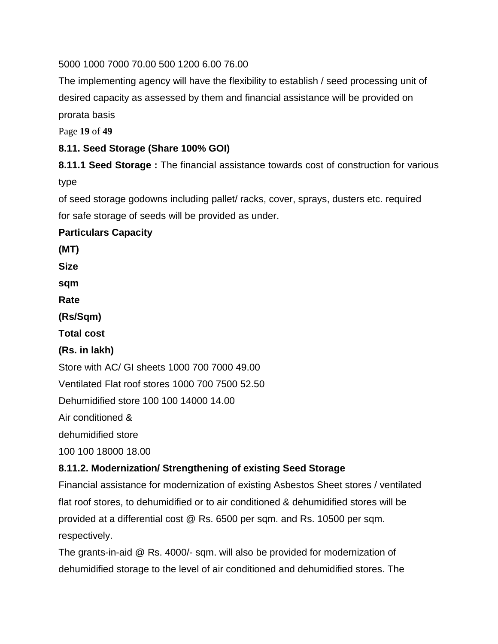5000 1000 7000 70.00 500 1200 6.00 76.00

The implementing agency will have the flexibility to establish / seed processing unit of desired capacity as assessed by them and financial assistance will be provided on prorata basis

Page **19** of **49**

# **8.11. Seed Storage (Share 100% GOI)**

**8.11.1 Seed Storage :** The financial assistance towards cost of construction for various type

of seed storage godowns including pallet/ racks, cover, sprays, dusters etc. required for safe storage of seeds will be provided as under.

## **Particulars Capacity**

**(MT)**

**Size**

**sqm**

**Rate**

**(Rs/Sqm)**

**Total cost**

#### **(Rs. in lakh)**

Store with AC/ GI sheets 1000 700 7000 49.00

Ventilated Flat roof stores 1000 700 7500 52.50

Dehumidified store 100 100 14000 14.00

Air conditioned &

dehumidified store

100 100 18000 18.00

# **8.11.2. Modernization/ Strengthening of existing Seed Storage**

Financial assistance for modernization of existing Asbestos Sheet stores / ventilated flat roof stores, to dehumidified or to air conditioned & dehumidified stores will be provided at a differential cost @ Rs. 6500 per sqm. and Rs. 10500 per sqm. respectively.

The grants-in-aid @ Rs. 4000/- sqm. will also be provided for modernization of dehumidified storage to the level of air conditioned and dehumidified stores. The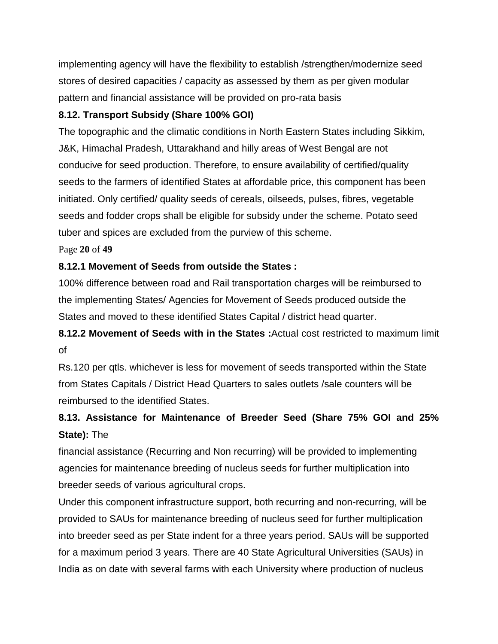implementing agency will have the flexibility to establish /strengthen/modernize seed stores of desired capacities / capacity as assessed by them as per given modular pattern and financial assistance will be provided on pro-rata basis

# **8.12. Transport Subsidy (Share 100% GOI)**

The topographic and the climatic conditions in North Eastern States including Sikkim, J&K, Himachal Pradesh, Uttarakhand and hilly areas of West Bengal are not conducive for seed production. Therefore, to ensure availability of certified/quality seeds to the farmers of identified States at affordable price, this component has been initiated. Only certified/ quality seeds of cereals, oilseeds, pulses, fibres, vegetable seeds and fodder crops shall be eligible for subsidy under the scheme. Potato seed tuber and spices are excluded from the purview of this scheme.

Page **20** of **49**

# **8.12.1 Movement of Seeds from outside the States :**

100% difference between road and Rail transportation charges will be reimbursed to the implementing States/ Agencies for Movement of Seeds produced outside the States and moved to these identified States Capital / district head quarter.

# **8.12.2 Movement of Seeds with in the States :**Actual cost restricted to maximum limit of

Rs.120 per qtls. whichever is less for movement of seeds transported within the State from States Capitals / District Head Quarters to sales outlets /sale counters will be reimbursed to the identified States.

# **8.13. Assistance for Maintenance of Breeder Seed (Share 75% GOI and 25% State):** The

financial assistance (Recurring and Non recurring) will be provided to implementing agencies for maintenance breeding of nucleus seeds for further multiplication into breeder seeds of various agricultural crops.

Under this component infrastructure support, both recurring and non-recurring, will be provided to SAUs for maintenance breeding of nucleus seed for further multiplication into breeder seed as per State indent for a three years period. SAUs will be supported for a maximum period 3 years. There are 40 State Agricultural Universities (SAUs) in India as on date with several farms with each University where production of nucleus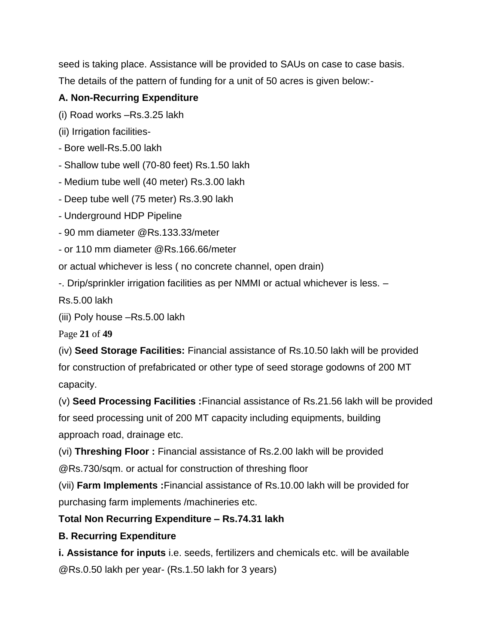seed is taking place. Assistance will be provided to SAUs on case to case basis. The details of the pattern of funding for a unit of 50 acres is given below:-

# **A. Non-Recurring Expenditure**

(i) Road works –Rs.3.25 lakh

(ii) Irrigation facilities-

- Bore well-Rs.5.00 lakh

- Shallow tube well (70-80 feet) Rs.1.50 lakh

- Medium tube well (40 meter) Rs.3.00 lakh

- Deep tube well (75 meter) Rs.3.90 lakh

- Underground HDP Pipeline

- 90 mm diameter @Rs.133.33/meter

- or 110 mm diameter @Rs.166.66/meter

or actual whichever is less ( no concrete channel, open drain)

-. Drip/sprinkler irrigation facilities as per NMMI or actual whichever is less. –

Rs.5.00 lakh

(iii) Poly house –Rs.5.00 lakh

Page **21** of **49**

(iv) **Seed Storage Facilities:** Financial assistance of Rs.10.50 lakh will be provided for construction of prefabricated or other type of seed storage godowns of 200 MT capacity.

(v) **Seed Processing Facilities :**Financial assistance of Rs.21.56 lakh will be provided for seed processing unit of 200 MT capacity including equipments, building

approach road, drainage etc.

(vi) **Threshing Floor :** Financial assistance of Rs.2.00 lakh will be provided

@Rs.730/sqm. or actual for construction of threshing floor

(vii) **Farm Implements :**Financial assistance of Rs.10.00 lakh will be provided for purchasing farm implements /machineries etc.

# **Total Non Recurring Expenditure – Rs.74.31 lakh**

# **B. Recurring Expenditure**

**i. Assistance for inputs** i.e. seeds, fertilizers and chemicals etc. will be available @Rs.0.50 lakh per year- (Rs.1.50 lakh for 3 years)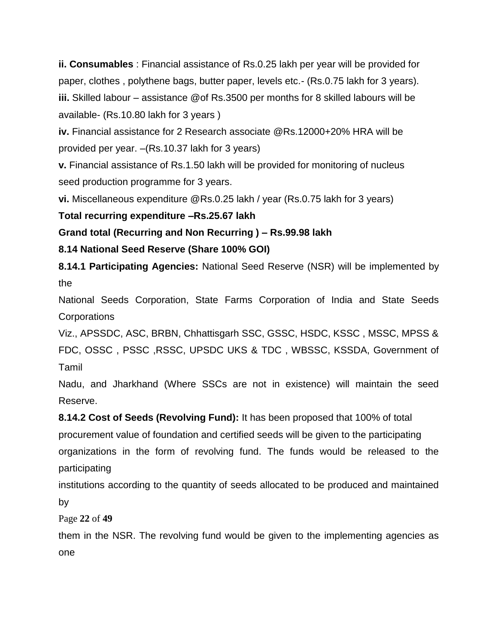**ii. Consumables** : Financial assistance of Rs.0.25 lakh per year will be provided for paper, clothes , polythene bags, butter paper, levels etc.- (Rs.0.75 lakh for 3 years). **iii.** Skilled labour – assistance @of Rs.3500 per months for 8 skilled labours will be available- (Rs.10.80 lakh for 3 years )

**iv.** Financial assistance for 2 Research associate @Rs.12000+20% HRA will be provided per year. –(Rs.10.37 lakh for 3 years)

**v.** Financial assistance of Rs.1.50 lakh will be provided for monitoring of nucleus seed production programme for 3 years.

**vi.** Miscellaneous expenditure @Rs.0.25 lakh / year (Rs.0.75 lakh for 3 years)

## **Total recurring expenditure –Rs.25.67 lakh**

**Grand total (Recurring and Non Recurring ) – Rs.99.98 lakh**

## **8.14 National Seed Reserve (Share 100% GOI)**

**8.14.1 Participating Agencies:** National Seed Reserve (NSR) will be implemented by the

National Seeds Corporation, State Farms Corporation of India and State Seeds **Corporations** 

Viz., APSSDC, ASC, BRBN, Chhattisgarh SSC, GSSC, HSDC, KSSC , MSSC, MPSS & FDC, OSSC , PSSC ,RSSC, UPSDC UKS & TDC , WBSSC, KSSDA, Government of Tamil

Nadu, and Jharkhand (Where SSCs are not in existence) will maintain the seed Reserve.

**8.14.2 Cost of Seeds (Revolving Fund):** It has been proposed that 100% of total procurement value of foundation and certified seeds will be given to the participating organizations in the form of revolving fund. The funds would be released to the participating

institutions according to the quantity of seeds allocated to be produced and maintained by

Page **22** of **49**

them in the NSR. The revolving fund would be given to the implementing agencies as one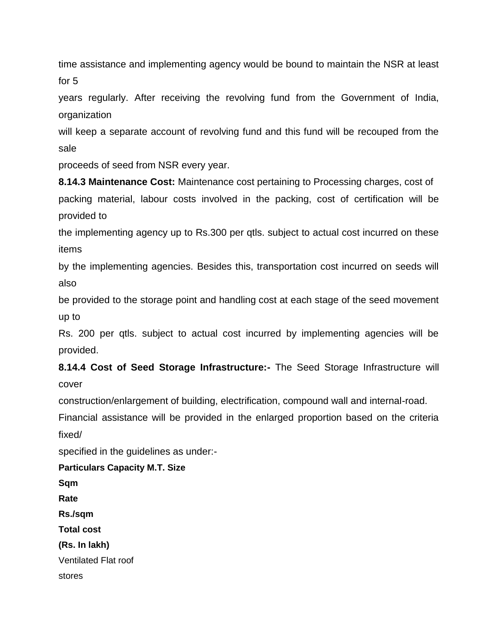time assistance and implementing agency would be bound to maintain the NSR at least for 5

years regularly. After receiving the revolving fund from the Government of India, organization

will keep a separate account of revolving fund and this fund will be recouped from the sale

proceeds of seed from NSR every year.

**8.14.3 Maintenance Cost:** Maintenance cost pertaining to Processing charges, cost of packing material, labour costs involved in the packing, cost of certification will be provided to

the implementing agency up to Rs.300 per qtls. subject to actual cost incurred on these items

by the implementing agencies. Besides this, transportation cost incurred on seeds will also

be provided to the storage point and handling cost at each stage of the seed movement up to

Rs. 200 per qtls. subject to actual cost incurred by implementing agencies will be provided.

**8.14.4 Cost of Seed Storage Infrastructure:-** The Seed Storage Infrastructure will cover

construction/enlargement of building, electrification, compound wall and internal-road.

Financial assistance will be provided in the enlarged proportion based on the criteria fixed/

specified in the guidelines as under:-

**Particulars Capacity M.T. Size Sqm Rate Rs./sqm Total cost (Rs. In lakh)** Ventilated Flat roof stores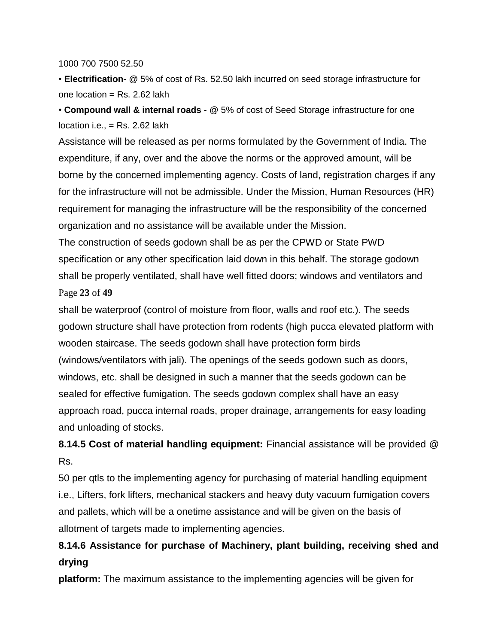1000 700 7500 52.50

• **Electrification-** @ 5% of cost of Rs. 52.50 lakh incurred on seed storage infrastructure for one location =  $Rs. 2.62$  lakh

• **Compound wall & internal roads** - @ 5% of cost of Seed Storage infrastructure for one location i.e.,  $=$  Rs. 2.62 lakh

Assistance will be released as per norms formulated by the Government of India. The expenditure, if any, over and the above the norms or the approved amount, will be borne by the concerned implementing agency. Costs of land, registration charges if any for the infrastructure will not be admissible. Under the Mission, Human Resources (HR) requirement for managing the infrastructure will be the responsibility of the concerned organization and no assistance will be available under the Mission.

The construction of seeds godown shall be as per the CPWD or State PWD specification or any other specification laid down in this behalf. The storage godown shall be properly ventilated, shall have well fitted doors; windows and ventilators and Page **23** of **49**

shall be waterproof (control of moisture from floor, walls and roof etc.). The seeds godown structure shall have protection from rodents (high pucca elevated platform with wooden staircase. The seeds godown shall have protection form birds (windows/ventilators with jali). The openings of the seeds godown such as doors, windows, etc. shall be designed in such a manner that the seeds godown can be sealed for effective fumigation. The seeds godown complex shall have an easy approach road, pucca internal roads, proper drainage, arrangements for easy loading and unloading of stocks.

**8.14.5 Cost of material handling equipment:** Financial assistance will be provided @ Rs.

50 per qtls to the implementing agency for purchasing of material handling equipment i.e., Lifters, fork lifters, mechanical stackers and heavy duty vacuum fumigation covers and pallets, which will be a onetime assistance and will be given on the basis of allotment of targets made to implementing agencies.

# **8.14.6 Assistance for purchase of Machinery, plant building, receiving shed and drying**

**platform:** The maximum assistance to the implementing agencies will be given for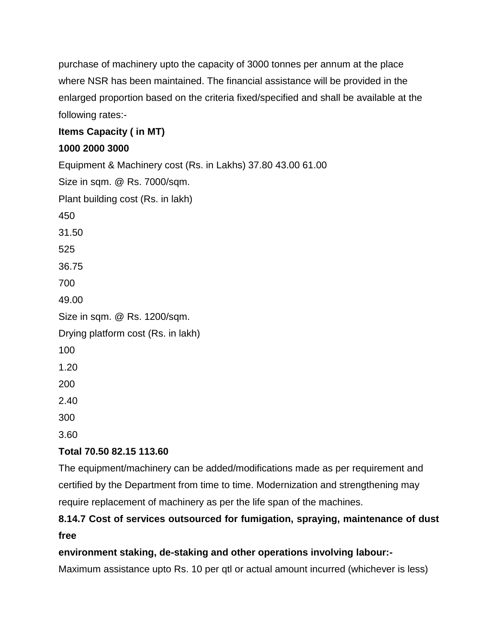purchase of machinery upto the capacity of 3000 tonnes per annum at the place where NSR has been maintained. The financial assistance will be provided in the enlarged proportion based on the criteria fixed/specified and shall be available at the following rates:-

# **Items Capacity ( in MT)**

# **1000 2000 3000**

Equipment & Machinery cost (Rs. in Lakhs) 37.80 43.00 61.00 Size in sqm. @ Rs. 7000/sqm. Plant building cost (Rs. in lakh) 450 31.50 525 36.75 700 49.00 Size in sqm. @ Rs. 1200/sqm. Drying platform cost (Rs. in lakh) 100 1.20 200 2.40 300

3.60

# **Total 70.50 82.15 113.60**

The equipment/machinery can be added/modifications made as per requirement and certified by the Department from time to time. Modernization and strengthening may require replacement of machinery as per the life span of the machines.

# **8.14.7 Cost of services outsourced for fumigation, spraying, maintenance of dust free**

# **environment staking, de-staking and other operations involving labour:-**

Maximum assistance upto Rs. 10 per qtl or actual amount incurred (whichever is less)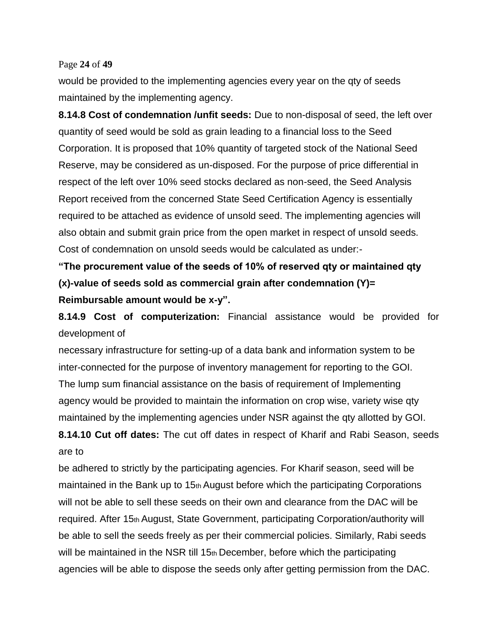#### Page **24** of **49**

would be provided to the implementing agencies every year on the qty of seeds maintained by the implementing agency.

**8.14.8 Cost of condemnation /unfit seeds:** Due to non-disposal of seed, the left over quantity of seed would be sold as grain leading to a financial loss to the Seed Corporation. It is proposed that 10% quantity of targeted stock of the National Seed Reserve, may be considered as un-disposed. For the purpose of price differential in respect of the left over 10% seed stocks declared as non-seed, the Seed Analysis Report received from the concerned State Seed Certification Agency is essentially required to be attached as evidence of unsold seed. The implementing agencies will also obtain and submit grain price from the open market in respect of unsold seeds. Cost of condemnation on unsold seeds would be calculated as under:-

**"The procurement value of the seeds of 10% of reserved qty or maintained qty (x)-value of seeds sold as commercial grain after condemnation (Y)= Reimbursable amount would be x-y".**

**8.14.9 Cost of computerization:** Financial assistance would be provided for development of

necessary infrastructure for setting-up of a data bank and information system to be inter-connected for the purpose of inventory management for reporting to the GOI. The lump sum financial assistance on the basis of requirement of Implementing agency would be provided to maintain the information on crop wise, variety wise qty maintained by the implementing agencies under NSR against the qty allotted by GOI.

**8.14.10 Cut off dates:** The cut off dates in respect of Kharif and Rabi Season, seeds are to

be adhered to strictly by the participating agencies. For Kharif season, seed will be maintained in the Bank up to 15th August before which the participating Corporations will not be able to sell these seeds on their own and clearance from the DAC will be required. After 15th August, State Government, participating Corporation/authority will be able to sell the seeds freely as per their commercial policies. Similarly, Rabi seeds will be maintained in the NSR till 15th December, before which the participating agencies will be able to dispose the seeds only after getting permission from the DAC.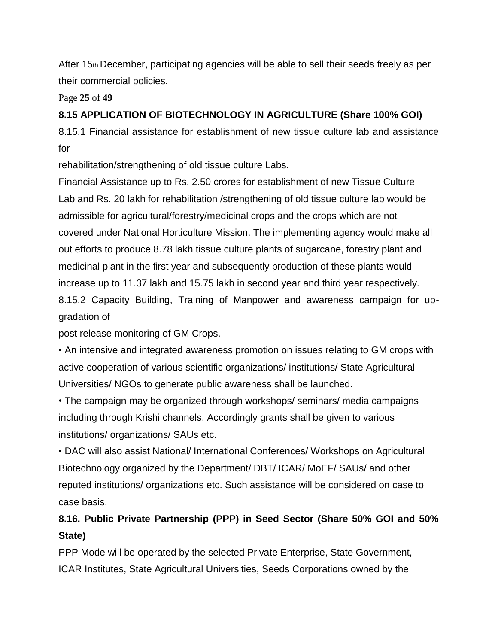After 15th December, participating agencies will be able to sell their seeds freely as per their commercial policies.

Page **25** of **49**

## **8.15 APPLICATION OF BIOTECHNOLOGY IN AGRICULTURE (Share 100% GOI)**

8.15.1 Financial assistance for establishment of new tissue culture lab and assistance for

rehabilitation/strengthening of old tissue culture Labs.

Financial Assistance up to Rs. 2.50 crores for establishment of new Tissue Culture Lab and Rs. 20 lakh for rehabilitation /strengthening of old tissue culture lab would be admissible for agricultural/forestry/medicinal crops and the crops which are not covered under National Horticulture Mission. The implementing agency would make all out efforts to produce 8.78 lakh tissue culture plants of sugarcane, forestry plant and medicinal plant in the first year and subsequently production of these plants would increase up to 11.37 lakh and 15.75 lakh in second year and third year respectively. 8.15.2 Capacity Building, Training of Manpower and awareness campaign for upgradation of

post release monitoring of GM Crops.

• An intensive and integrated awareness promotion on issues relating to GM crops with active cooperation of various scientific organizations/ institutions/ State Agricultural Universities/ NGOs to generate public awareness shall be launched.

• The campaign may be organized through workshops/ seminars/ media campaigns including through Krishi channels. Accordingly grants shall be given to various institutions/ organizations/ SAUs etc.

• DAC will also assist National/ International Conferences/ Workshops on Agricultural Biotechnology organized by the Department/ DBT/ ICAR/ MoEF/ SAUs/ and other reputed institutions/ organizations etc. Such assistance will be considered on case to case basis.

# **8.16. Public Private Partnership (PPP) in Seed Sector (Share 50% GOI and 50% State)**

PPP Mode will be operated by the selected Private Enterprise, State Government, ICAR Institutes, State Agricultural Universities, Seeds Corporations owned by the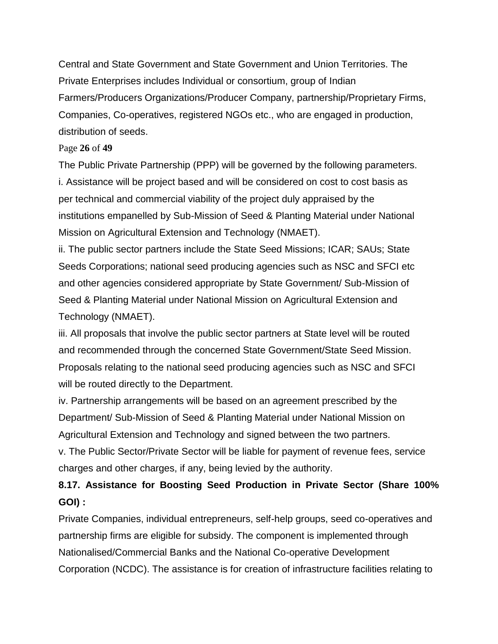Central and State Government and State Government and Union Territories. The Private Enterprises includes Individual or consortium, group of Indian Farmers/Producers Organizations/Producer Company, partnership/Proprietary Firms, Companies, Co-operatives, registered NGOs etc., who are engaged in production, distribution of seeds.

#### Page **26** of **49**

The Public Private Partnership (PPP) will be governed by the following parameters. i. Assistance will be project based and will be considered on cost to cost basis as per technical and commercial viability of the project duly appraised by the institutions empanelled by Sub-Mission of Seed & Planting Material under National Mission on Agricultural Extension and Technology (NMAET).

ii. The public sector partners include the State Seed Missions; ICAR; SAUs; State Seeds Corporations; national seed producing agencies such as NSC and SFCI etc and other agencies considered appropriate by State Government/ Sub-Mission of Seed & Planting Material under National Mission on Agricultural Extension and Technology (NMAET).

iii. All proposals that involve the public sector partners at State level will be routed and recommended through the concerned State Government/State Seed Mission. Proposals relating to the national seed producing agencies such as NSC and SFCI will be routed directly to the Department.

iv. Partnership arrangements will be based on an agreement prescribed by the Department/ Sub-Mission of Seed & Planting Material under National Mission on Agricultural Extension and Technology and signed between the two partners.

v. The Public Sector/Private Sector will be liable for payment of revenue fees, service charges and other charges, if any, being levied by the authority.

# **8.17. Assistance for Boosting Seed Production in Private Sector (Share 100% GOI) :**

Private Companies, individual entrepreneurs, self-help groups, seed co-operatives and partnership firms are eligible for subsidy. The component is implemented through Nationalised/Commercial Banks and the National Co-operative Development Corporation (NCDC). The assistance is for creation of infrastructure facilities relating to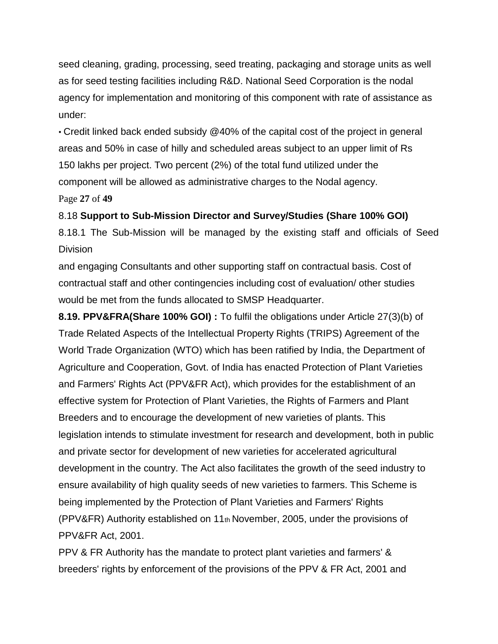seed cleaning, grading, processing, seed treating, packaging and storage units as well as for seed testing facilities including R&D. National Seed Corporation is the nodal agency for implementation and monitoring of this component with rate of assistance as under:

• Credit linked back ended subsidy @40% of the capital cost of the project in general areas and 50% in case of hilly and scheduled areas subject to an upper limit of Rs 150 lakhs per project. Two percent (2%) of the total fund utilized under the component will be allowed as administrative charges to the Nodal agency.

Page **27** of **49**

8.18 **Support to Sub-Mission Director and Survey/Studies (Share 100% GOI)**

8.18.1 The Sub-Mission will be managed by the existing staff and officials of Seed **Division** 

and engaging Consultants and other supporting staff on contractual basis. Cost of contractual staff and other contingencies including cost of evaluation/ other studies would be met from the funds allocated to SMSP Headquarter.

**8.19. PPV&FRA(Share 100% GOI) :** To fulfil the obligations under Article 27(3)(b) of Trade Related Aspects of the Intellectual Property Rights (TRIPS) Agreement of the World Trade Organization (WTO) which has been ratified by India, the Department of Agriculture and Cooperation, Govt. of India has enacted Protection of Plant Varieties and Farmers' Rights Act (PPV&FR Act), which provides for the establishment of an effective system for Protection of Plant Varieties, the Rights of Farmers and Plant Breeders and to encourage the development of new varieties of plants. This legislation intends to stimulate investment for research and development, both in public and private sector for development of new varieties for accelerated agricultural development in the country. The Act also facilitates the growth of the seed industry to ensure availability of high quality seeds of new varieties to farmers. This Scheme is being implemented by the Protection of Plant Varieties and Farmers' Rights (PPV&FR) Authority established on 11th November, 2005, under the provisions of PPV&FR Act, 2001.

PPV & FR Authority has the mandate to protect plant varieties and farmers' & breeders' rights by enforcement of the provisions of the PPV & FR Act, 2001 and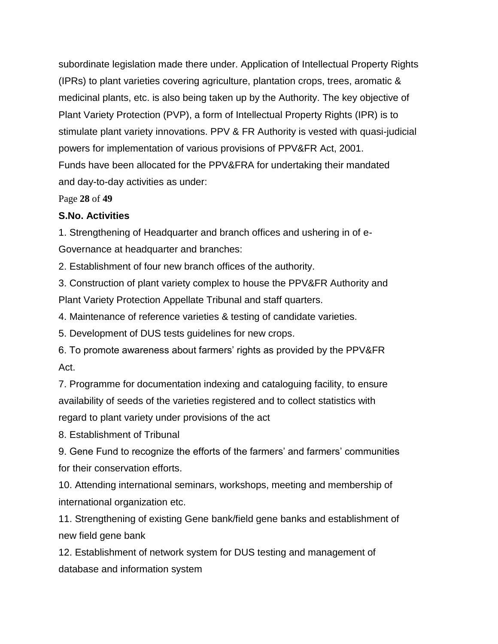subordinate legislation made there under. Application of Intellectual Property Rights (IPRs) to plant varieties covering agriculture, plantation crops, trees, aromatic & medicinal plants, etc. is also being taken up by the Authority. The key objective of Plant Variety Protection (PVP), a form of Intellectual Property Rights (IPR) is to stimulate plant variety innovations. PPV & FR Authority is vested with quasi-judicial powers for implementation of various provisions of PPV&FR Act, 2001. Funds have been allocated for the PPV&FRA for undertaking their mandated and day-to-day activities as under:

Page **28** of **49**

#### **S.No. Activities**

1. Strengthening of Headquarter and branch offices and ushering in of e-Governance at headquarter and branches:

2. Establishment of four new branch offices of the authority.

3. Construction of plant variety complex to house the PPV&FR Authority and Plant Variety Protection Appellate Tribunal and staff quarters.

4. Maintenance of reference varieties & testing of candidate varieties.

5. Development of DUS tests guidelines for new crops.

6. To promote awareness about farmers' rights as provided by the PPV&FR Act.

7. Programme for documentation indexing and cataloguing facility, to ensure availability of seeds of the varieties registered and to collect statistics with regard to plant variety under provisions of the act

8. Establishment of Tribunal

9. Gene Fund to recognize the efforts of the farmers' and farmers' communities for their conservation efforts.

10. Attending international seminars, workshops, meeting and membership of international organization etc.

11. Strengthening of existing Gene bank/field gene banks and establishment of new field gene bank

12. Establishment of network system for DUS testing and management of database and information system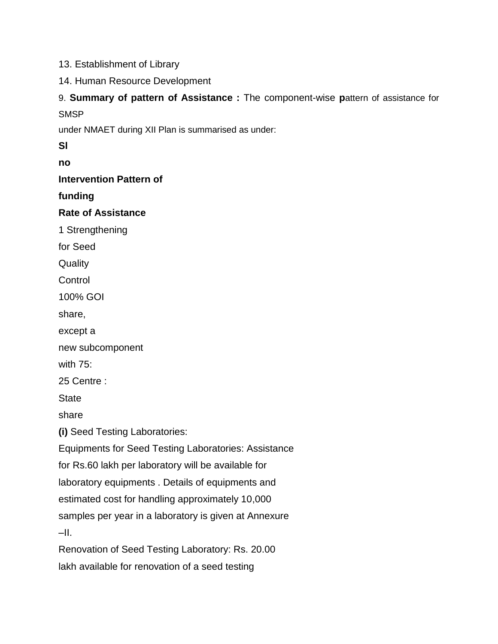13. Establishment of Library

14. Human Resource Development

9. **Summary of pattern of Assistance :** The component-wise **p**attern of assistance for **SMSP** 

under NMAET during XII Plan is summarised as under:

**Sl**

**no**

**Intervention Pattern of**

**funding**

**Rate of Assistance**

1 Strengthening

for Seed

**Quality** 

**Control** 

100% GOI

share,

except a

new subcomponent

with 75:

25 Centre :

**State** 

share

**(i)** Seed Testing Laboratories:

Equipments for Seed Testing Laboratories: Assistance

for Rs.60 lakh per laboratory will be available for

laboratory equipments . Details of equipments and

estimated cost for handling approximately 10,000

samples per year in a laboratory is given at Annexure

 $-II.$ 

Renovation of Seed Testing Laboratory: Rs. 20.00 lakh available for renovation of a seed testing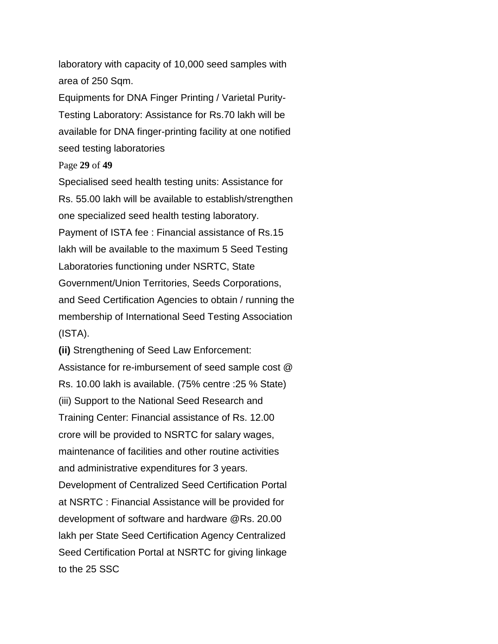laboratory with capacity of 10,000 seed samples with area of 250 Sqm.

Equipments for DNA Finger Printing / Varietal Purity-Testing Laboratory: Assistance for Rs.70 lakh will be available for DNA finger-printing facility at one notified seed testing laboratories

Page **29** of **49**

Specialised seed health testing units: Assistance for Rs. 55.00 lakh will be available to establish/strengthen one specialized seed health testing laboratory. Payment of ISTA fee : Financial assistance of Rs.15 lakh will be available to the maximum 5 Seed Testing Laboratories functioning under NSRTC, State Government/Union Territories, Seeds Corporations, and Seed Certification Agencies to obtain / running the membership of International Seed Testing Association (ISTA).

**(ii)** Strengthening of Seed Law Enforcement: Assistance for re-imbursement of seed sample cost @ Rs. 10.00 lakh is available. (75% centre :25 % State) (iii) Support to the National Seed Research and Training Center: Financial assistance of Rs. 12.00 crore will be provided to NSRTC for salary wages, maintenance of facilities and other routine activities and administrative expenditures for 3 years. Development of Centralized Seed Certification Portal at NSRTC : Financial Assistance will be provided for development of software and hardware @Rs. 20.00 lakh per State Seed Certification Agency Centralized Seed Certification Portal at NSRTC for giving linkage to the 25 SSC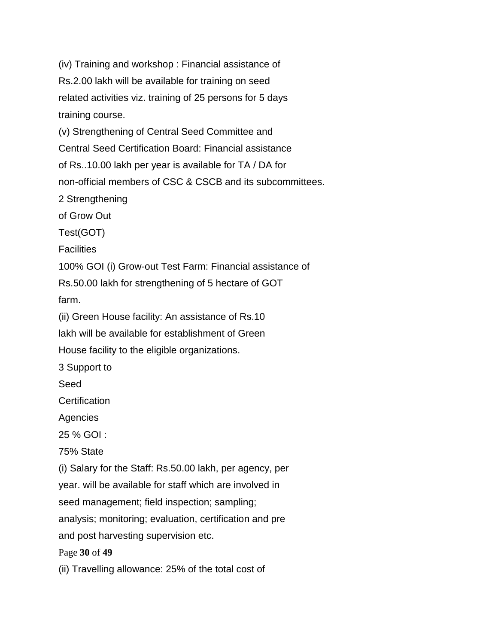(iv) Training and workshop : Financial assistance of Rs.2.00 lakh will be available for training on seed related activities viz. training of 25 persons for 5 days training course. (v) Strengthening of Central Seed Committee and Central Seed Certification Board: Financial assistance of Rs..10.00 lakh per year is available for TA / DA for non-official members of CSC & CSCB and its subcommittees. 2 Strengthening of Grow Out Test(GOT) **Facilities** 100% GOI (i) Grow-out Test Farm: Financial assistance of Rs.50.00 lakh for strengthening of 5 hectare of GOT farm. (ii) Green House facility: An assistance of Rs.10 lakh will be available for establishment of Green House facility to the eligible organizations. 3 Support to Seed **Certification Agencies** 25 % GOI : 75% State (i) Salary for the Staff: Rs.50.00 lakh, per agency, per year. will be available for staff which are involved in seed management; field inspection; sampling; analysis; monitoring; evaluation, certification and pre and post harvesting supervision etc. Page **30** of **49** (ii) Travelling allowance: 25% of the total cost of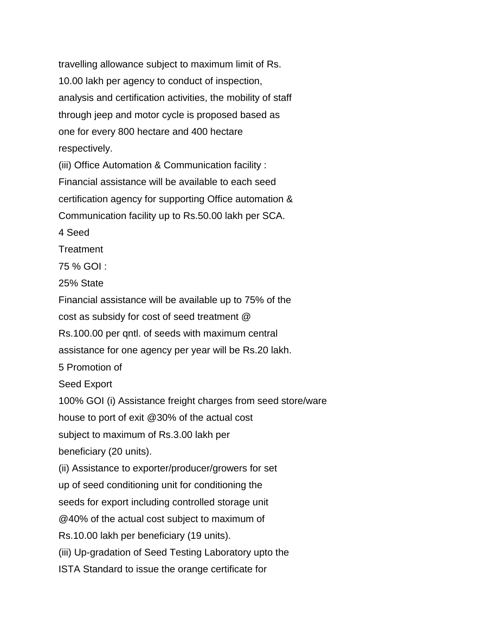travelling allowance subject to maximum limit of Rs. 10.00 lakh per agency to conduct of inspection, analysis and certification activities, the mobility of staff through jeep and motor cycle is proposed based as one for every 800 hectare and 400 hectare respectively.

(iii) Office Automation & Communication facility : Financial assistance will be available to each seed certification agency for supporting Office automation & Communication facility up to Rs.50.00 lakh per SCA.

4 Seed

**Treatment** 

75 % GOI :

25% State

Financial assistance will be available up to 75% of the cost as subsidy for cost of seed treatment @ Rs.100.00 per qntl. of seeds with maximum central assistance for one agency per year will be Rs.20 lakh. 5 Promotion of Seed Export 100% GOI (i) Assistance freight charges from seed store/ware house to port of exit @30% of the actual cost subject to maximum of Rs.3.00 lakh per beneficiary (20 units). (ii) Assistance to exporter/producer/growers for set up of seed conditioning unit for conditioning the seeds for export including controlled storage unit @40% of the actual cost subject to maximum of Rs.10.00 lakh per beneficiary (19 units). (iii) Up-gradation of Seed Testing Laboratory upto the ISTA Standard to issue the orange certificate for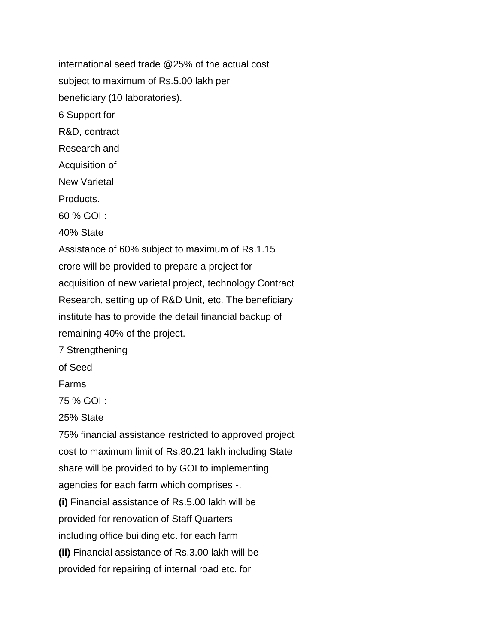international seed trade @25% of the actual cost subject to maximum of Rs.5.00 lakh per beneficiary (10 laboratories). 6 Support for R&D, contract Research and Acquisition of New Varietal Products. 60 % GOI : 40% State Assistance of 60% subject to maximum of Rs.1.15 crore will be provided to prepare a project for acquisition of new varietal project, technology Contract Research, setting up of R&D Unit, etc. The beneficiary institute has to provide the detail financial backup of remaining 40% of the project. 7 Strengthening of Seed Farms 75 % GOI : 25% State 75% financial assistance restricted to approved project cost to maximum limit of Rs.80.21 lakh including State share will be provided to by GOI to implementing agencies for each farm which comprises -. **(i)** Financial assistance of Rs.5.00 lakh will be provided for renovation of Staff Quarters including office building etc. for each farm **(ii)** Financial assistance of Rs.3.00 lakh will be provided for repairing of internal road etc. for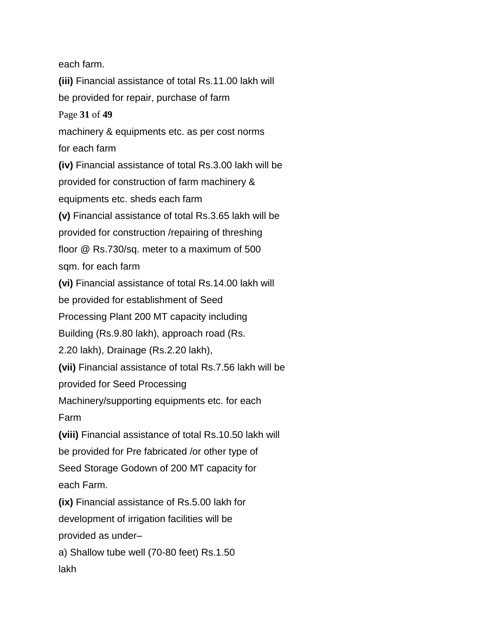each farm.

**(iii)** Financial assistance of total Rs.11.00 lakh will be provided for repair, purchase of farm Page **31** of **49** machinery & equipments etc. as per cost norms for each farm **(iv)** Financial assistance of total Rs.3.00 lakh will be provided for construction of farm machinery & equipments etc. sheds each farm **(v)** Financial assistance of total Rs.3.65 lakh will be provided for construction /repairing of threshing floor @ Rs.730/sq. meter to a maximum of 500 sqm. for each farm **(vi)** Financial assistance of total Rs.14.00 lakh will be provided for establishment of Seed Processing Plant 200 MT capacity including Building (Rs.9.80 lakh), approach road (Rs. 2.20 lakh), Drainage (Rs.2.20 lakh), **(vii)** Financial assistance of total Rs.7.56 lakh will be provided for Seed Processing Machinery/supporting equipments etc. for each Farm **(viii)** Financial assistance of total Rs.10.50 lakh will be provided for Pre fabricated /or other type of Seed Storage Godown of 200 MT capacity for each Farm. **(ix)** Financial assistance of Rs.5.00 lakh for development of irrigation facilities will be provided as under– a) Shallow tube well (70-80 feet) Rs.1.50 lakh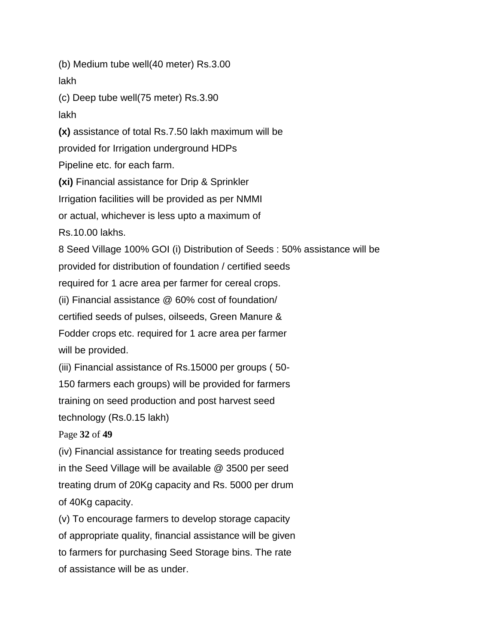(b) Medium tube well(40 meter) Rs.3.00 lakh

(c) Deep tube well(75 meter) Rs.3.90

lakh

**(x)** assistance of total Rs.7.50 lakh maximum will be

provided for Irrigation underground HDPs

Pipeline etc. for each farm.

**(xi)** Financial assistance for Drip & Sprinkler

Irrigation facilities will be provided as per NMMI

or actual, whichever is less upto a maximum of

Rs.10.00 lakhs.

8 Seed Village 100% GOI (i) Distribution of Seeds : 50% assistance will be provided for distribution of foundation / certified seeds required for 1 acre area per farmer for cereal crops.

(ii) Financial assistance @ 60% cost of foundation/

certified seeds of pulses, oilseeds, Green Manure &

Fodder crops etc. required for 1 acre area per farmer will be provided.

(iii) Financial assistance of Rs.15000 per groups ( 50- 150 farmers each groups) will be provided for farmers training on seed production and post harvest seed technology (Rs.0.15 lakh)

Page **32** of **49**

(iv) Financial assistance for treating seeds produced in the Seed Village will be available @ 3500 per seed treating drum of 20Kg capacity and Rs. 5000 per drum of 40Kg capacity.

(v) To encourage farmers to develop storage capacity of appropriate quality, financial assistance will be given to farmers for purchasing Seed Storage bins. The rate of assistance will be as under.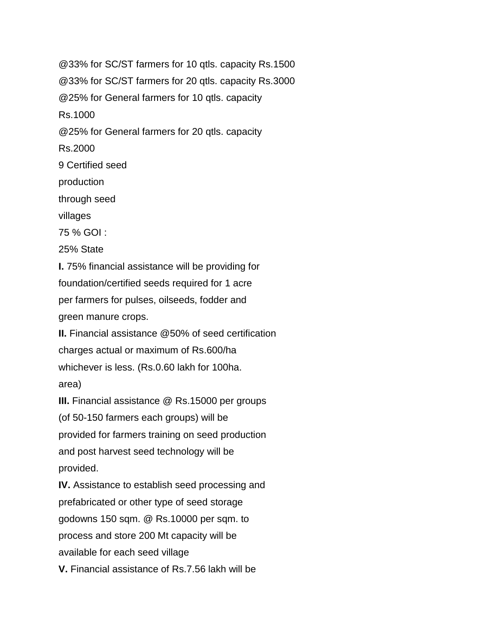@33% for SC/ST farmers for 10 qtls. capacity Rs.1500 @33% for SC/ST farmers for 20 qtls. capacity Rs.3000 @25% for General farmers for 10 qtls. capacity Rs.1000 @25% for General farmers for 20 qtls. capacity Rs.2000 9 Certified seed production through seed villages 75 % GOI : 25% State **I.** 75% financial assistance will be providing for foundation/certified seeds required for 1 acre per farmers for pulses, oilseeds, fodder and green manure crops. **II.** Financial assistance @50% of seed certification charges actual or maximum of Rs.600/ha whichever is less. (Rs.0.60 lakh for 100ha. area) **III.** Financial assistance @ Rs.15000 per groups (of 50-150 farmers each groups) will be provided for farmers training on seed production and post harvest seed technology will be provided. **IV.** Assistance to establish seed processing and prefabricated or other type of seed storage godowns 150 sqm. @ Rs.10000 per sqm. to process and store 200 Mt capacity will be available for each seed village **V.** Financial assistance of Rs.7.56 lakh will be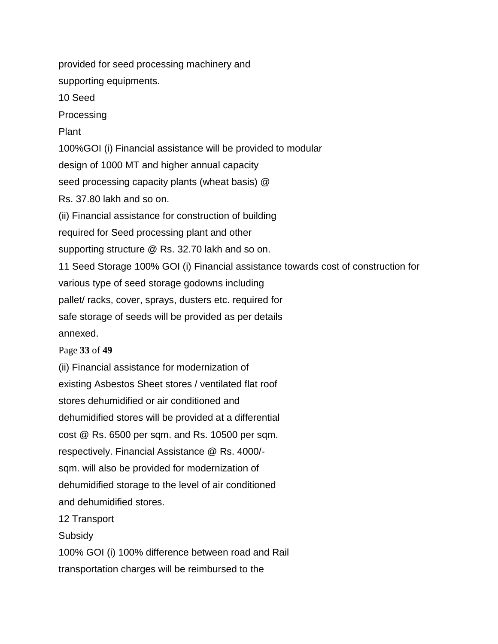provided for seed processing machinery and supporting equipments.

10 Seed

Processing

Plant

100%GOI (i) Financial assistance will be provided to modular

design of 1000 MT and higher annual capacity

seed processing capacity plants (wheat basis) @

Rs. 37.80 lakh and so on.

(ii) Financial assistance for construction of building

required for Seed processing plant and other

supporting structure @ Rs. 32.70 lakh and so on.

11 Seed Storage 100% GOI (i) Financial assistance towards cost of construction for various type of seed storage godowns including pallet/ racks, cover, sprays, dusters etc. required for safe storage of seeds will be provided as per details annexed.

Page **33** of **49**

(ii) Financial assistance for modernization of existing Asbestos Sheet stores / ventilated flat roof stores dehumidified or air conditioned and dehumidified stores will be provided at a differential cost @ Rs. 6500 per sqm. and Rs. 10500 per sqm. respectively. Financial Assistance @ Rs. 4000/ sqm. will also be provided for modernization of dehumidified storage to the level of air conditioned and dehumidified stores.

12 Transport

**Subsidy** 

100% GOI (i) 100% difference between road and Rail transportation charges will be reimbursed to the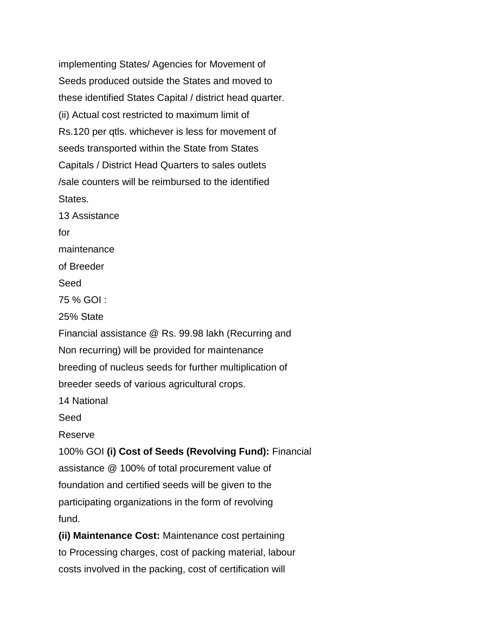implementing States/ Agencies for Movement of Seeds produced outside the States and moved to these identified States Capital / district head quarter. (ii) Actual cost restricted to maximum limit of Rs.120 per qtls. whichever is less for movement of seeds transported within the State from States Capitals / District Head Quarters to sales outlets /sale counters will be reimbursed to the identified States. 13 Assistance

for maintenance of Breeder Seed 75 % GOI : 25% State Financial assistance @ Rs. 99.98 lakh (Recurring and Non recurring) will be provided for maintenance breeding of nucleus seeds for further multiplication of breeder seeds of various agricultural crops.

14 National

Seed

Reserve

100% GOI **(i) Cost of Seeds (Revolving Fund):** Financial assistance @ 100% of total procurement value of foundation and certified seeds will be given to the participating organizations in the form of revolving fund.

**(ii) Maintenance Cost:** Maintenance cost pertaining to Processing charges, cost of packing material, labour costs involved in the packing, cost of certification will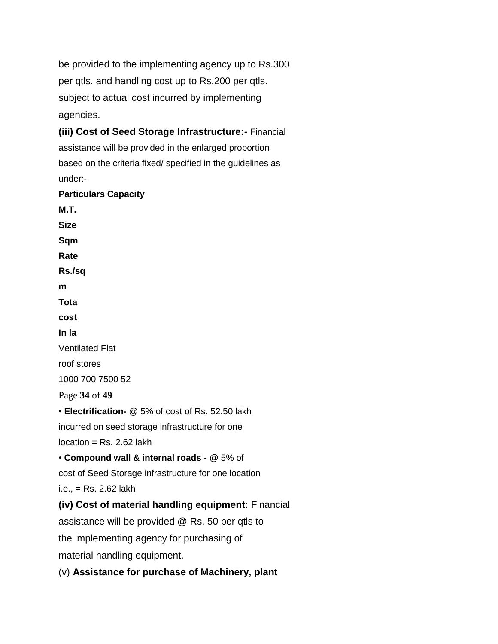be provided to the implementing agency up to Rs.300 per qtls. and handling cost up to Rs.200 per qtls. subject to actual cost incurred by implementing agencies.

**(iii) Cost of Seed Storage Infrastructure:-** Financial assistance will be provided in the enlarged proportion based on the criteria fixed/ specified in the guidelines as under:-

**Particulars Capacity**

**M.T. Size Sqm Rate Rs./sq m Tota cost In la** Ventilated Flat roof stores 1000 700 7500 52 Page **34** of **49** • **Electrification-** @ 5% of cost of Rs. 52.50 lakh incurred on seed storage infrastructure for one  $location = Rs. 2.62$  lakh • **Compound wall & internal roads** - @ 5% of cost of Seed Storage infrastructure for one location i.e., = Rs. 2.62 lakh **(iv) Cost of material handling equipment:** Financial assistance will be provided @ Rs. 50 per qtls to the implementing agency for purchasing of material handling equipment.

(v) **Assistance for purchase of Machinery, plant**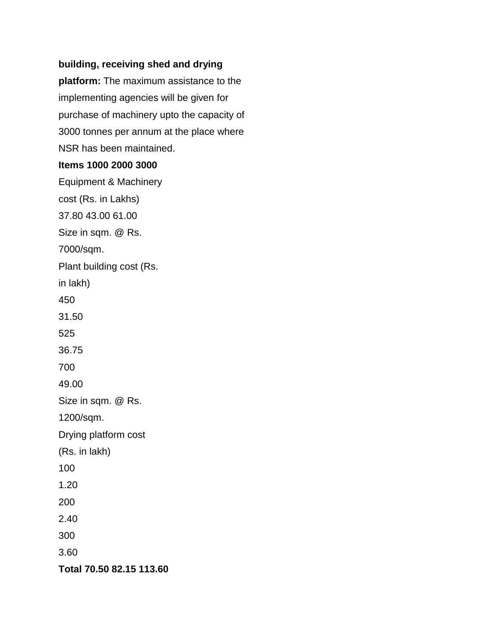## **building, receiving shed and drying**

**platform:** The maximum assistance to the implementing agencies will be given for purchase of machinery upto the capacity of 3000 tonnes per annum at the place where NSR has been maintained.

#### **Items 1000 2000 3000**

Equipment & Machinery cost (Rs. in Lakhs) 37.80 43.00 61.00 Size in sqm. @ Rs. 7000/sqm. Plant building cost (Rs. in lakh) 450 31.50 525 36.75 700 49.00 Size in sqm. @ Rs. 1200/sqm. Drying platform cost (Rs. in lakh) 100 1.20 200 2.40 300 3.60 **Total 70.50 82.15 113.60**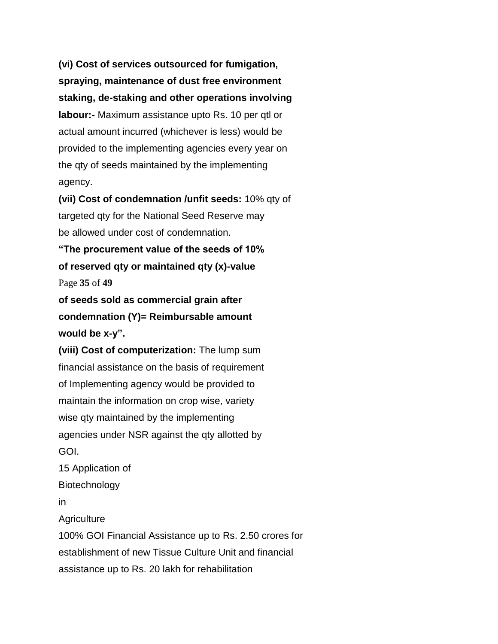**(vi) Cost of services outsourced for fumigation, spraying, maintenance of dust free environment staking, de-staking and other operations involving labour:-** Maximum assistance upto Rs. 10 per qtl or actual amount incurred (whichever is less) would be provided to the implementing agencies every year on the qty of seeds maintained by the implementing agency.

**(vii) Cost of condemnation /unfit seeds:** 10% qty of targeted qty for the National Seed Reserve may be allowed under cost of condemnation.

**"The procurement value of the seeds of 10% of reserved qty or maintained qty (x)-value** Page **35** of **49**

**of seeds sold as commercial grain after condemnation (Y)= Reimbursable amount would be x-y".**

**(viii) Cost of computerization:** The lump sum financial assistance on the basis of requirement of Implementing agency would be provided to maintain the information on crop wise, variety wise qty maintained by the implementing agencies under NSR against the qty allotted by GOI. 15 Application of

Biotechnology

in

**Agriculture** 

100% GOI Financial Assistance up to Rs. 2.50 crores for establishment of new Tissue Culture Unit and financial assistance up to Rs. 20 lakh for rehabilitation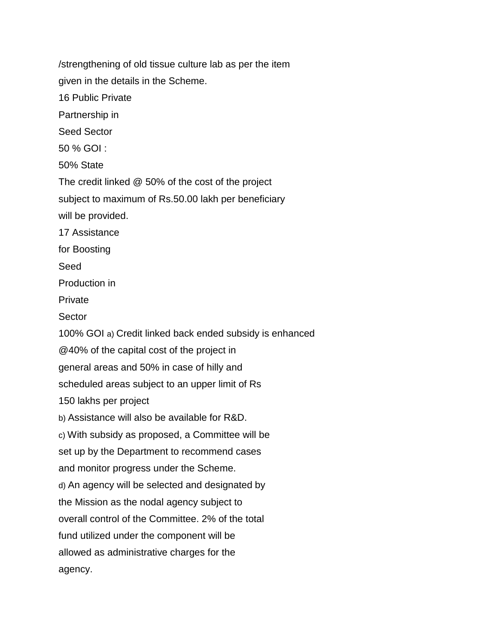/strengthening of old tissue culture lab as per the item given in the details in the Scheme. 16 Public Private Partnership in Seed Sector 50 % GOI : 50% State The credit linked @ 50% of the cost of the project subject to maximum of Rs.50.00 lakh per beneficiary will be provided. 17 Assistance for Boosting Seed Production in Private Sector 100% GOI a) Credit linked back ended subsidy is enhanced @40% of the capital cost of the project in general areas and 50% in case of hilly and scheduled areas subject to an upper limit of Rs 150 lakhs per project b) Assistance will also be available for R&D. c) With subsidy as proposed, a Committee will be set up by the Department to recommend cases and monitor progress under the Scheme. d) An agency will be selected and designated by the Mission as the nodal agency subject to overall control of the Committee. 2% of the total fund utilized under the component will be allowed as administrative charges for the agency.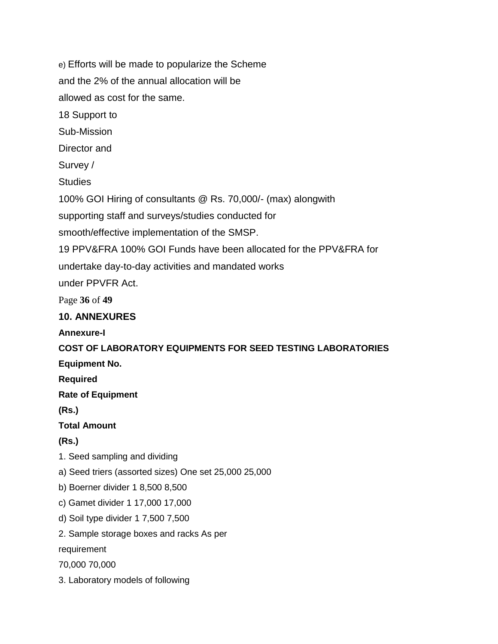e) Efforts will be made to popularize the Scheme and the 2% of the annual allocation will be allowed as cost for the same. 18 Support to Sub-Mission Director and Survey / **Studies** 100% GOI Hiring of consultants @ Rs. 70,000/- (max) alongwith supporting staff and surveys/studies conducted for smooth/effective implementation of the SMSP. 19 PPV&FRA 100% GOI Funds have been allocated for the PPV&FRA for undertake day-to-day activities and mandated works under PPVFR Act. Page **36** of **49 10. ANNEXURES Annexure-I COST OF LABORATORY EQUIPMENTS FOR SEED TESTING LABORATORIES Equipment No. Required Rate of Equipment (Rs.) Total Amount (Rs.)** 1. Seed sampling and dividing a) Seed triers (assorted sizes) One set 25,000 25,000 b) Boerner divider 1 8,500 8,500 c) Gamet divider 1 17,000 17,000 d) Soil type divider 1 7,500 7,500 2. Sample storage boxes and racks As per requirement 70,000 70,000 3. Laboratory models of following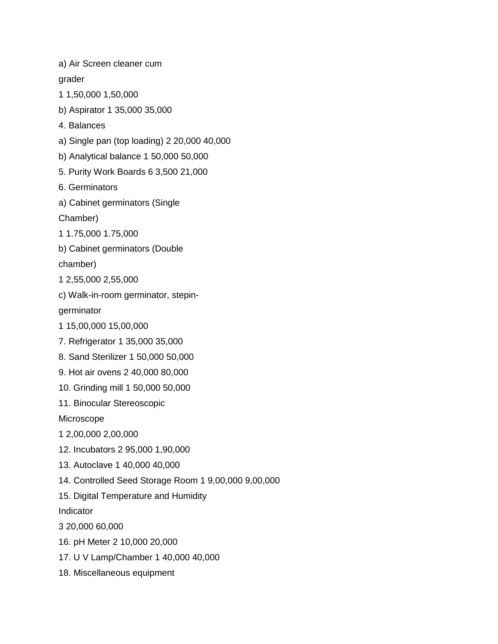a) Air Screen cleaner cum grader 1 1,50,000 1,50,000 b) Aspirator 1 35,000 35,000 4. Balances a) Single pan (top loading) 2 20,000 40,000 b) Analytical balance 1 50,000 50,000 5. Purity Work Boards 6 3,500 21,000 6. Germinators a) Cabinet germinators (Single Chamber) 1 1.75,000 1.75,000 b) Cabinet germinators (Double chamber) 1 2,55,000 2,55,000 c) Walk-in-room germinator, stepingerminator 1 15,00,000 15,00,000 7. Refrigerator 1 35,000 35,000 8. Sand Sterilizer 1 50,000 50,000 9. Hot air ovens 2 40,000 80,000 10. Grinding mill 1 50,000 50,000 11. Binocular Stereoscopic Microscope 1 2,00,000 2,00,000 12. Incubators 2 95,000 1,90,000 13. Autoclave 1 40,000 40,000 14. Controlled Seed Storage Room 1 9,00,000 9,00,000 15. Digital Temperature and Humidity Indicator 3 20,000 60,000 16. pH Meter 2 10,000 20,000 17. U V Lamp/Chamber 1 40,000 40,000 18. Miscellaneous equipment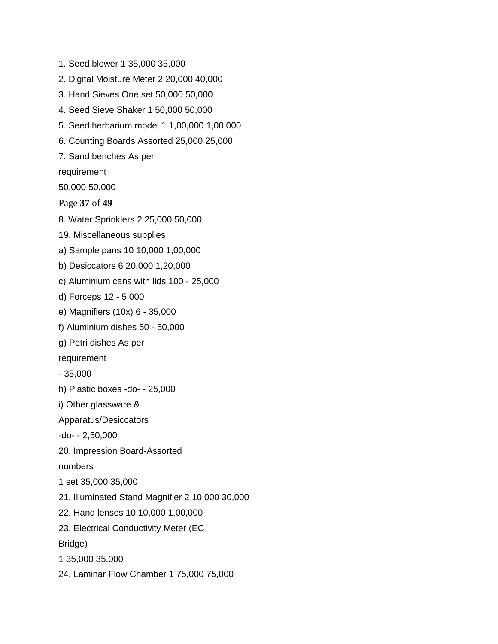1. Seed blower 1 35,000 35,000 2. Digital Moisture Meter 2 20,000 40,000 3. Hand Sieves One set 50,000 50,000 4. Seed Sieve Shaker 1 50,000 50,000 5. Seed herbarium model 1 1,00,000 1,00,000 6. Counting Boards Assorted 25,000 25,000 7. Sand benches As per requirement 50,000 50,000 Page **37** of **49** 8. Water Sprinklers 2 25,000 50,000 19. Miscellaneous supplies a) Sample pans 10 10,000 1,00,000 b) Desiccators 6 20,000 1,20,000 c) Aluminium cans with lids 100 - 25,000 d) Forceps 12 - 5,000 e) Magnifiers (10x) 6 - 35,000 f) Aluminium dishes 50 - 50,000 g) Petri dishes As per requirement - 35,000 h) Plastic boxes -do- - 25,000 i) Other glassware & Apparatus/Desiccators -do- - 2,50,000 20. Impression Board-Assorted numbers 1 set 35,000 35,000 21. Illuminated Stand Magnifier 2 10,000 30,000 22. Hand lenses 10 10,000 1,00,000 23. Electrical Conductivity Meter (EC Bridge) 1 35,000 35,000 24. Laminar Flow Chamber 1 75,000 75,000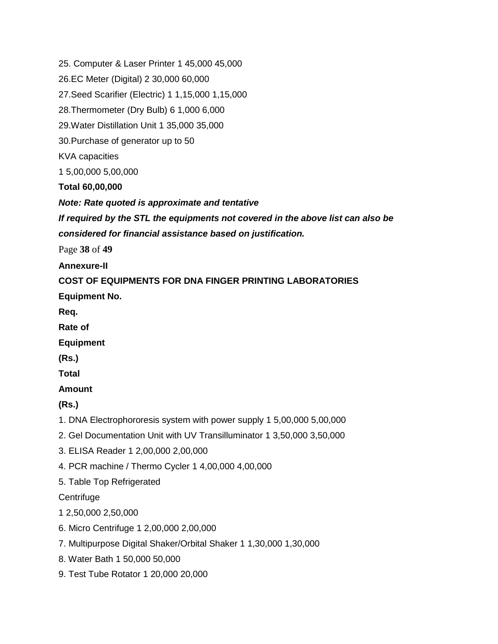25. Computer & Laser Printer 1 45,000 45,000 26.EC Meter (Digital) 2 30,000 60,000 27.Seed Scarifier (Electric) 1 1,15,000 1,15,000 28.Thermometer (Dry Bulb) 6 1,000 6,000 29.Water Distillation Unit 1 35,000 35,000 30.Purchase of generator up to 50 KVA capacities 1 5,00,000 5,00,000 **Total 60,00,000** *Note: Rate quoted is approximate and tentative If required by the STL the equipments not covered in the above list can also be considered for financial assistance based on justification.* Page **38** of **49 Annexure-II COST OF EQUIPMENTS FOR DNA FINGER PRINTING LABORATORIES Equipment No. Req. Rate of Equipment (Rs.) Total Amount (Rs.)** 1. DNA Electrophororesis system with power supply 1 5,00,000 5,00,000 2. Gel Documentation Unit with UV Transilluminator 1 3,50,000 3,50,000 3. ELISA Reader 1 2,00,000 2,00,000 4. PCR machine / Thermo Cycler 1 4,00,000 4,00,000 5. Table Top Refrigerated **Centrifuge** 1 2,50,000 2,50,000 6. Micro Centrifuge 1 2,00,000 2,00,000 7. Multipurpose Digital Shaker/Orbital Shaker 1 1,30,000 1,30,000 8. Water Bath 1 50,000 50,000 9. Test Tube Rotator 1 20,000 20,000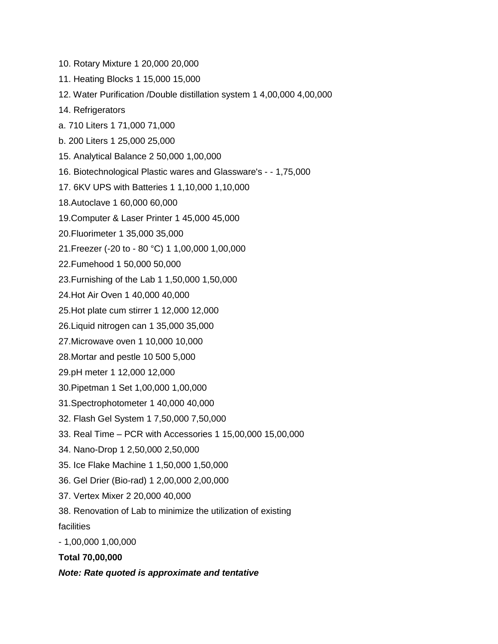- 10. Rotary Mixture 1 20,000 20,000
- 11. Heating Blocks 1 15,000 15,000
- 12. Water Purification /Double distillation system 1 4,00,000 4,00,000
- 14. Refrigerators
- a. 710 Liters 1 71,000 71,000
- b. 200 Liters 1 25,000 25,000
- 15. Analytical Balance 2 50,000 1,00,000
- 16. Biotechnological Plastic wares and Glassware's - 1,75,000
- 17. 6KV UPS with Batteries 1 1,10,000 1,10,000
- 18.Autoclave 1 60,000 60,000
- 19.Computer & Laser Printer 1 45,000 45,000
- 20.Fluorimeter 1 35,000 35,000
- 21.Freezer (-20 to 80 °C) 1 1,00,000 1,00,000
- 22.Fumehood 1 50,000 50,000
- 23.Furnishing of the Lab 1 1,50,000 1,50,000
- 24.Hot Air Oven 1 40,000 40,000
- 25.Hot plate cum stirrer 1 12,000 12,000
- 26.Liquid nitrogen can 1 35,000 35,000
- 27.Microwave oven 1 10,000 10,000
- 28.Mortar and pestle 10 500 5,000
- 29.pH meter 1 12,000 12,000
- 30.Pipetman 1 Set 1,00,000 1,00,000
- 31.Spectrophotometer 1 40,000 40,000
- 32. Flash Gel System 1 7,50,000 7,50,000
- 33. Real Time PCR with Accessories 1 15,00,000 15,00,000
- 34. Nano-Drop 1 2,50,000 2,50,000
- 35. Ice Flake Machine 1 1,50,000 1,50,000
- 36. Gel Drier (Bio-rad) 1 2,00,000 2,00,000
- 37. Vertex Mixer 2 20,000 40,000
- 38. Renovation of Lab to minimize the utilization of existing

facilities

- 1,00,000 1,00,000

**Total 70,00,000**

*Note: Rate quoted is approximate and tentative*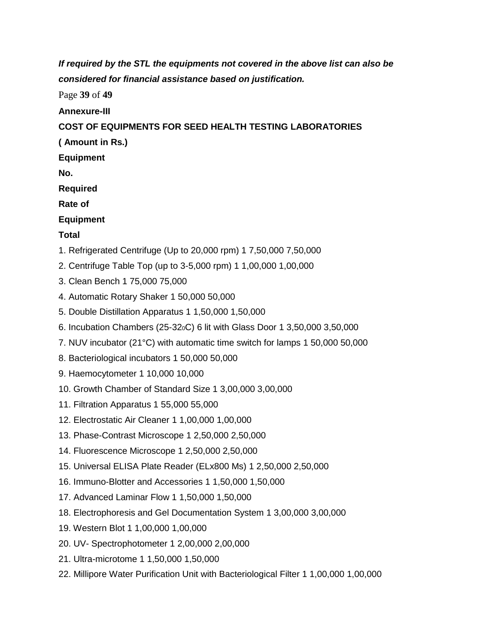*If required by the STL the equipments not covered in the above list can also be considered for financial assistance based on justification.*

Page **39** of **49**

**Annexure-III**

#### **COST OF EQUIPMENTS FOR SEED HEALTH TESTING LABORATORIES**

**( Amount in Rs.)**

**Equipment**

**No.**

**Required**

**Rate of**

**Equipment**

#### **Total**

- 1. Refrigerated Centrifuge (Up to 20,000 rpm) 1 7,50,000 7,50,000
- 2. Centrifuge Table Top (up to 3-5,000 rpm) 1 1,00,000 1,00,000
- 3. Clean Bench 1 75,000 75,000
- 4. Automatic Rotary Shaker 1 50,000 50,000
- 5. Double Distillation Apparatus 1 1,50,000 1,50,000
- 6. Incubation Chambers (25-320C) 6 lit with Glass Door 1 3,50,000 3,50,000
- 7. NUV incubator (21°C) with automatic time switch for lamps 1 50,000 50,000
- 8. Bacteriological incubators 1 50,000 50,000
- 9. Haemocytometer 1 10,000 10,000
- 10. Growth Chamber of Standard Size 1 3,00,000 3,00,000
- 11. Filtration Apparatus 1 55,000 55,000
- 12. Electrostatic Air Cleaner 1 1,00,000 1,00,000
- 13. Phase-Contrast Microscope 1 2,50,000 2,50,000
- 14. Fluorescence Microscope 1 2,50,000 2,50,000
- 15. Universal ELISA Plate Reader (ELx800 Ms) 1 2,50,000 2,50,000
- 16. Immuno-Blotter and Accessories 1 1,50,000 1,50,000
- 17. Advanced Laminar Flow 1 1,50,000 1,50,000
- 18. Electrophoresis and Gel Documentation System 1 3,00,000 3,00,000
- 19. Western Blot 1 1,00,000 1,00,000
- 20. UV- Spectrophotometer 1 2,00,000 2,00,000
- 21. Ultra-microtome 1 1,50,000 1,50,000
- 22. Millipore Water Purification Unit with Bacteriological Filter 1 1,00,000 1,00,000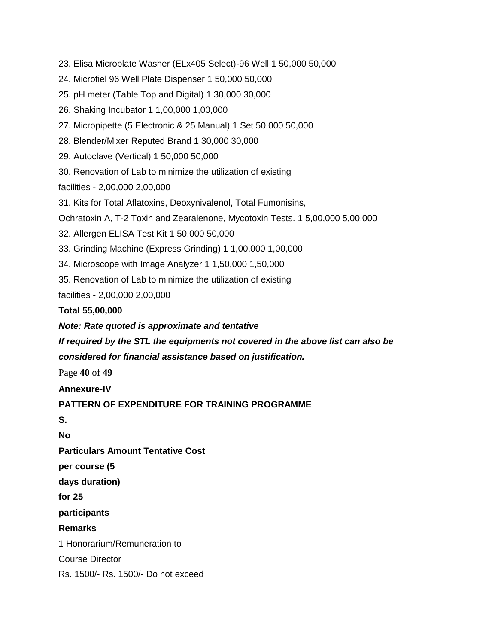23. Elisa Microplate Washer (ELx405 Select)-96 Well 1 50,000 50,000

24. Microfiel 96 Well Plate Dispenser 1 50,000 50,000

25. pH meter (Table Top and Digital) 1 30,000 30,000

26. Shaking Incubator 1 1,00,000 1,00,000

27. Micropipette (5 Electronic & 25 Manual) 1 Set 50,000 50,000

28. Blender/Mixer Reputed Brand 1 30,000 30,000

29. Autoclave (Vertical) 1 50,000 50,000

30. Renovation of Lab to minimize the utilization of existing

facilities - 2,00,000 2,00,000

31. Kits for Total Aflatoxins, Deoxynivalenol, Total Fumonisins,

Ochratoxin A, T-2 Toxin and Zearalenone, Mycotoxin Tests. 1 5,00,000 5,00,000

32. Allergen ELISA Test Kit 1 50,000 50,000

33. Grinding Machine (Express Grinding) 1 1,00,000 1,00,000

34. Microscope with Image Analyzer 1 1,50,000 1,50,000

35. Renovation of Lab to minimize the utilization of existing

facilities - 2,00,000 2,00,000

#### **Total 55,00,000**

*Note: Rate quoted is approximate and tentative*

*If required by the STL the equipments not covered in the above list can also be considered for financial assistance based on justification.*

Page **40** of **49**

**Annexure-IV**

**PATTERN OF EXPENDITURE FOR TRAINING PROGRAMME**

**S.**

**No**

**Particulars Amount Tentative Cost**

**per course (5**

**days duration)**

**for 25**

**participants**

**Remarks**

1 Honorarium/Remuneration to

Course Director

Rs. 1500/- Rs. 1500/- Do not exceed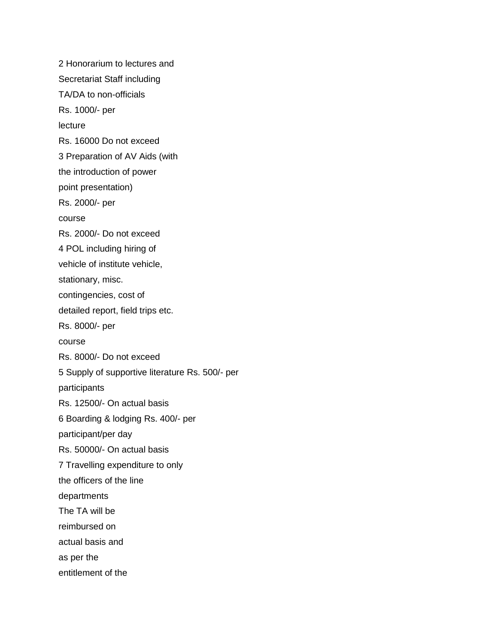2 Honorarium to lectures and Secretariat Staff including TA/DA to non-officials Rs. 1000/- per lecture Rs. 16000 Do not exceed 3 Preparation of AV Aids (with the introduction of power point presentation) Rs. 2000/- per course Rs. 2000/- Do not exceed 4 POL including hiring of vehicle of institute vehicle, stationary, misc. contingencies, cost of detailed report, field trips etc. Rs. 8000/- per course Rs. 8000/- Do not exceed 5 Supply of supportive literature Rs. 500/- per participants Rs. 12500/- On actual basis 6 Boarding & lodging Rs. 400/- per participant/per day Rs. 50000/- On actual basis 7 Travelling expenditure to only the officers of the line departments The TA will be reimbursed on actual basis and as per the entitlement of the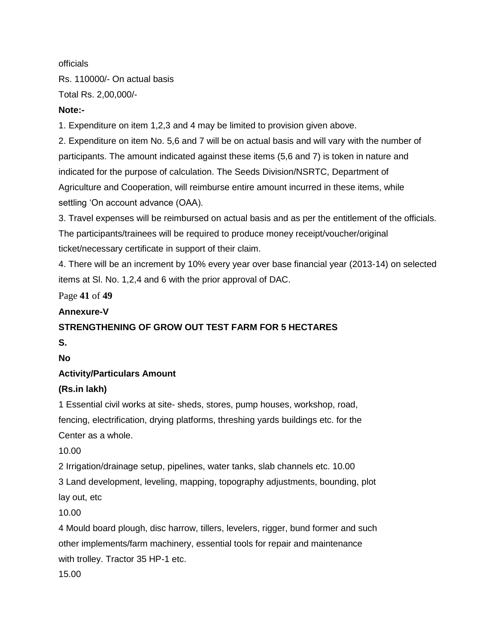officials Rs. 110000/- On actual basis Total Rs. 2,00,000/-

#### **Note:-**

1. Expenditure on item 1,2,3 and 4 may be limited to provision given above.

2. Expenditure on item No. 5,6 and 7 will be on actual basis and will vary with the number of participants. The amount indicated against these items (5,6 and 7) is token in nature and indicated for the purpose of calculation. The Seeds Division/NSRTC, Department of Agriculture and Cooperation, will reimburse entire amount incurred in these items, while settling 'On account advance (OAA).

3. Travel expenses will be reimbursed on actual basis and as per the entitlement of the officials. The participants/trainees will be required to produce money receipt/voucher/original ticket/necessary certificate in support of their claim.

4. There will be an increment by 10% every year over base financial year (2013-14) on selected items at Sl. No. 1,2,4 and 6 with the prior approval of DAC.

Page **41** of **49**

#### **Annexure-V**

#### **STRENGTHENING OF GROW OUT TEST FARM FOR 5 HECTARES**

**S.**

**No**

#### **Activity/Particulars Amount**

#### **(Rs.in lakh)**

1 Essential civil works at site- sheds, stores, pump houses, workshop, road, fencing, electrification, drying platforms, threshing yards buildings etc. for the Center as a whole.

10.00

2 Irrigation/drainage setup, pipelines, water tanks, slab channels etc. 10.00

3 Land development, leveling, mapping, topography adjustments, bounding, plot

lay out, etc

10.00

4 Mould board plough, disc harrow, tillers, levelers, rigger, bund former and such other implements/farm machinery, essential tools for repair and maintenance with trolley. Tractor 35 HP-1 etc.

15.00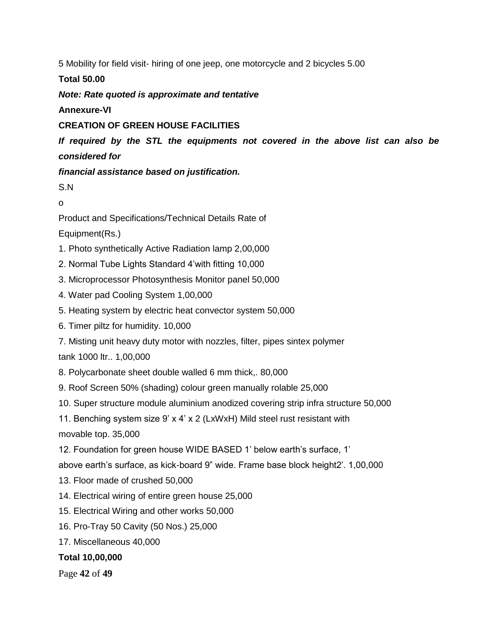5 Mobility for field visit- hiring of one jeep, one motorcycle and 2 bicycles 5.00

**Total 50.00**

*Note: Rate quoted is approximate and tentative*

**Annexure-VI**

#### **CREATION OF GREEN HOUSE FACILITIES**

*If required by the STL the equipments not covered in the above list can also be considered for*

*financial assistance based on justification.*

S.N

o

Product and Specifications/Technical Details Rate of

Equipment(Rs.)

- 1. Photo synthetically Active Radiation lamp 2,00,000
- 2. Normal Tube Lights Standard 4'with fitting 10,000
- 3. Microprocessor Photosynthesis Monitor panel 50,000
- 4. Water pad Cooling System 1,00,000
- 5. Heating system by electric heat convector system 50,000
- 6. Timer piltz for humidity. 10,000

7. Misting unit heavy duty motor with nozzles, filter, pipes sintex polymer tank 1000 ltr.. 1,00,000

8. Polycarbonate sheet double walled 6 mm thick,. 80,000

- 9. Roof Screen 50% (shading) colour green manually rolable 25,000
- 10. Super structure module aluminium anodized covering strip infra structure 50,000

11. Benching system size 9' x 4' x 2 (LxWxH) Mild steel rust resistant with

movable top. 35,000

12. Foundation for green house WIDE BASED 1' below earth's surface, 1'

above earth's surface, as kick-board 9" wide. Frame base block height2'. 1,00,000

- 13. Floor made of crushed 50,000
- 14. Electrical wiring of entire green house 25,000
- 15. Electrical Wiring and other works 50,000
- 16. Pro-Tray 50 Cavity (50 Nos.) 25,000
- 17. Miscellaneous 40,000

**Total 10,00,000**

Page **42** of **49**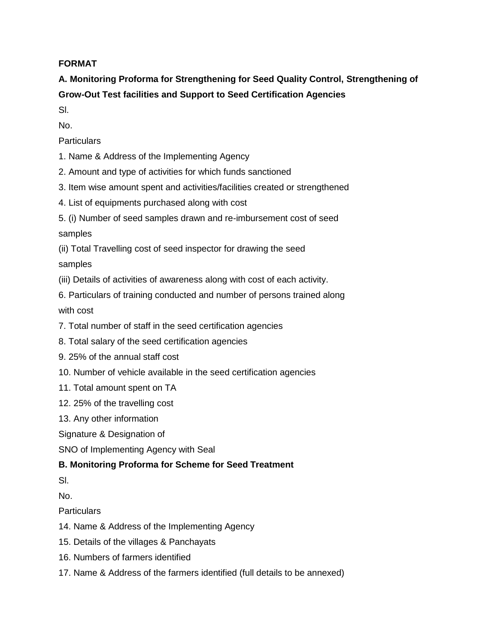#### **FORMAT**

**A. Monitoring Proforma for Strengthening for Seed Quality Control, Strengthening of Grow-Out Test facilities and Support to Seed Certification Agencies**

Sl.

No.

**Particulars** 

- 1. Name & Address of the Implementing Agency
- 2. Amount and type of activities for which funds sanctioned
- 3. Item wise amount spent and activities/facilities created or strengthened
- 4. List of equipments purchased along with cost
- 5. (i) Number of seed samples drawn and re-imbursement cost of seed samples
- (ii) Total Travelling cost of seed inspector for drawing the seed samples
- (iii) Details of activities of awareness along with cost of each activity.
- 6. Particulars of training conducted and number of persons trained along with cost
- 7. Total number of staff in the seed certification agencies
- 8. Total salary of the seed certification agencies
- 9. 25% of the annual staff cost
- 10. Number of vehicle available in the seed certification agencies
- 11. Total amount spent on TA
- 12. 25% of the travelling cost
- 13. Any other information
- Signature & Designation of
- SNO of Implementing Agency with Seal

#### **B. Monitoring Proforma for Scheme for Seed Treatment**

Sl.

No.

**Particulars** 

- 14. Name & Address of the Implementing Agency
- 15. Details of the villages & Panchayats
- 16. Numbers of farmers identified
- 17. Name & Address of the farmers identified (full details to be annexed)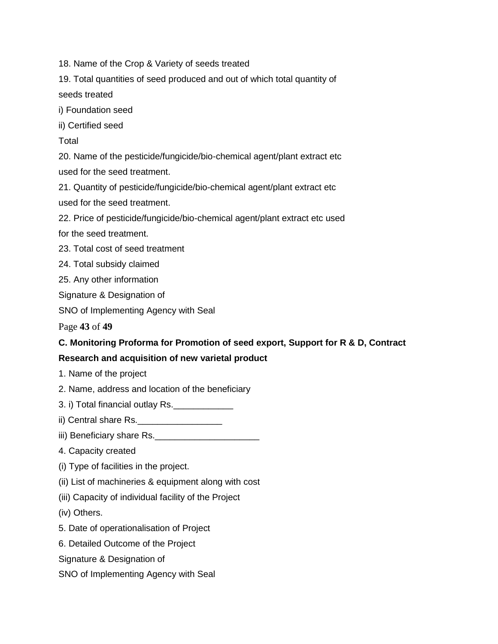18. Name of the Crop & Variety of seeds treated

19. Total quantities of seed produced and out of which total quantity of seeds treated

i) Foundation seed

ii) Certified seed

**Total** 

20. Name of the pesticide/fungicide/bio-chemical agent/plant extract etc

used for the seed treatment.

21. Quantity of pesticide/fungicide/bio-chemical agent/plant extract etc used for the seed treatment.

22. Price of pesticide/fungicide/bio-chemical agent/plant extract etc used

for the seed treatment.

23. Total cost of seed treatment

24. Total subsidy claimed

25. Any other information

Signature & Designation of

SNO of Implementing Agency with Seal

Page **43** of **49**

# **C. Monitoring Proforma for Promotion of seed export, Support for R & D, Contract**

#### **Research and acquisition of new varietal product**

1. Name of the project

2. Name, address and location of the beneficiary

3. i) Total financial outlay Rs.\_\_\_\_\_\_\_\_\_\_\_\_

ii) Central share Rs.

iii) Beneficiary share Rs.

4. Capacity created

(i) Type of facilities in the project.

(ii) List of machineries & equipment along with cost

(iii) Capacity of individual facility of the Project

(iv) Others.

5. Date of operationalisation of Project

6. Detailed Outcome of the Project

Signature & Designation of

SNO of Implementing Agency with Seal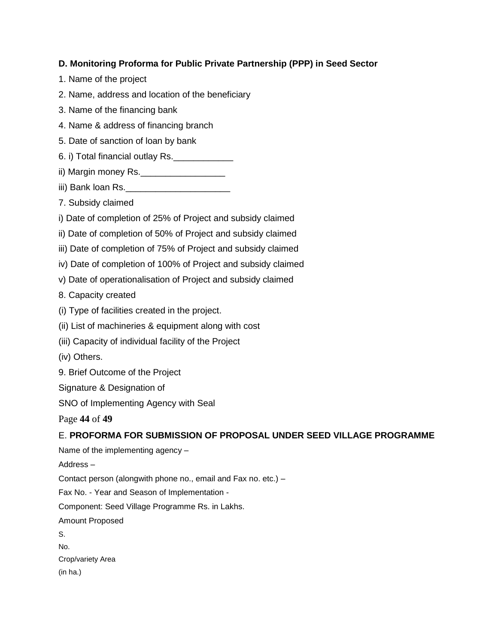#### **D. Monitoring Proforma for Public Private Partnership (PPP) in Seed Sector**

- 1. Name of the project
- 2. Name, address and location of the beneficiary
- 3. Name of the financing bank
- 4. Name & address of financing branch
- 5. Date of sanction of loan by bank
- 6. i) Total financial outlay Rs.\_\_\_\_\_\_\_\_\_\_\_\_
- ii) Margin money Rs.\_\_\_\_\_\_\_\_\_\_\_\_\_\_\_\_\_\_\_\_\_\_
- iii) Bank loan Rs.
- 7. Subsidy claimed
- i) Date of completion of 25% of Project and subsidy claimed
- ii) Date of completion of 50% of Project and subsidy claimed
- iii) Date of completion of 75% of Project and subsidy claimed
- iv) Date of completion of 100% of Project and subsidy claimed
- v) Date of operationalisation of Project and subsidy claimed
- 8. Capacity created
- (i) Type of facilities created in the project.
- (ii) List of machineries & equipment along with cost
- (iii) Capacity of individual facility of the Project
- (iv) Others.
- 9. Brief Outcome of the Project
- Signature & Designation of
- SNO of Implementing Agency with Seal

Page **44** of **49**

#### E. **PROFORMA FOR SUBMISSION OF PROPOSAL UNDER SEED VILLAGE PROGRAMME**

Name of the implementing agency –

Address –

Contact person (alongwith phone no., email and Fax no. etc.) –

Fax No. - Year and Season of Implementation -

Component: Seed Village Programme Rs. in Lakhs.

Amount Proposed

S.

No.

Crop/variety Area (in ha.)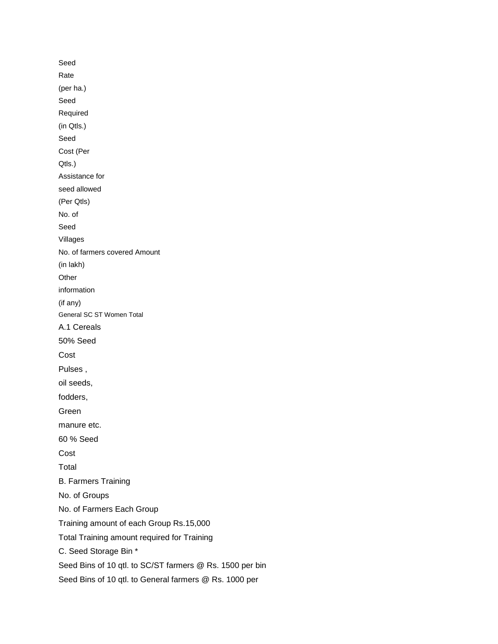Seed Rate (per ha.) Seed Required (in Qtls.) Seed Cost (Per Qtls.) Assistance for seed allowed (Per Qtls) No. of Seed Villages No. of farmers covered Amount (in lakh) **Other** information (if any) General SC ST Women Total A.1 Cereals 50% Seed Cost Pulses , oil seeds, fodders, Green manure etc. 60 % Seed Cost Total B. Farmers Training No. of Groups No. of Farmers Each Group Training amount of each Group Rs.15,000 Total Training amount required for Training C. Seed Storage Bin \* Seed Bins of 10 qtl. to SC/ST farmers @ Rs. 1500 per bin Seed Bins of 10 qtl. to General farmers @ Rs. 1000 per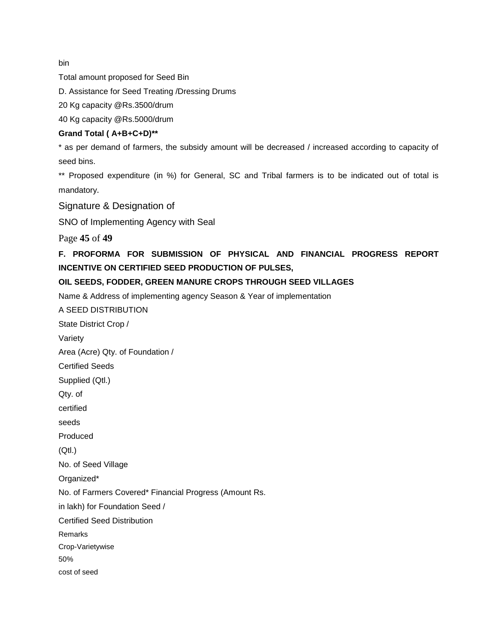bin

Total amount proposed for Seed Bin

D. Assistance for Seed Treating /Dressing Drums

20 Kg capacity @Rs.3500/drum

40 Kg capacity @Rs.5000/drum

#### **Grand Total ( A+B+C+D)\*\***

\* as per demand of farmers, the subsidy amount will be decreased / increased according to capacity of seed bins.

\*\* Proposed expenditure (in %) for General, SC and Tribal farmers is to be indicated out of total is mandatory.

Signature & Designation of

SNO of Implementing Agency with Seal

Page **45** of **49**

**F. PROFORMA FOR SUBMISSION OF PHYSICAL AND FINANCIAL PROGRESS REPORT INCENTIVE ON CERTIFIED SEED PRODUCTION OF PULSES,**

#### **OIL SEEDS, FODDER, GREEN MANURE CROPS THROUGH SEED VILLAGES**

Name & Address of implementing agency Season & Year of implementation

A SEED DISTRIBUTION

State District Crop / Variety Area (Acre) Qty. of Foundation / Certified Seeds Supplied (Qtl.) Qty. of certified seeds Produced (Qtl.) No. of Seed Village Organized\* No. of Farmers Covered\* Financial Progress (Amount Rs. in lakh) for Foundation Seed / Certified Seed Distribution Remarks Crop-Varietywise 50% cost of seed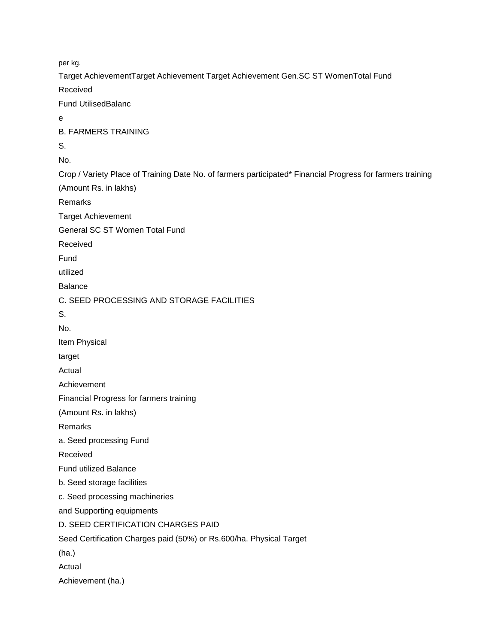per kg. Target AchievementTarget Achievement Target Achievement Gen.SC ST WomenTotal Fund Received Fund UtilisedBalanc e B. FARMERS TRAINING S. No. Crop / Variety Place of Training Date No. of farmers participated\* Financial Progress for farmers training (Amount Rs. in lakhs) Remarks Target Achievement General SC ST Women Total Fund Received Fund utilized Balance C. SEED PROCESSING AND STORAGE FACILITIES S. No. Item Physical target Actual

Achievement

Financial Progress for farmers training

(Amount Rs. in lakhs)

Remarks

a. Seed processing Fund

Received

Fund utilized Balance

b. Seed storage facilities

c. Seed processing machineries

and Supporting equipments

D. SEED CERTIFICATION CHARGES PAID

Seed Certification Charges paid (50%) or Rs.600/ha. Physical Target

(ha.)

Actual

Achievement (ha.)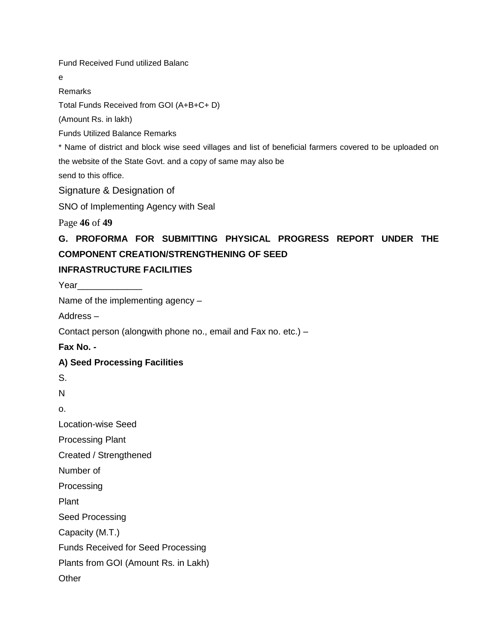Fund Received Fund utilized Balanc

e

Remarks

Total Funds Received from GOI (A+B+C+ D)

(Amount Rs. in lakh)

Funds Utilized Balance Remarks

\* Name of district and block wise seed villages and list of beneficial farmers covered to be uploaded on the website of the State Govt. and a copy of same may also be

send to this office.

Signature & Designation of

SNO of Implementing Agency with Seal

Page **46** of **49**

# **G. PROFORMA FOR SUBMITTING PHYSICAL PROGRESS REPORT UNDER THE COMPONENT CREATION/STRENGTHENING OF SEED**

#### **INFRASTRUCTURE FACILITIES**

Year

Name of the implementing agency –

Address –

Contact person (alongwith phone no., email and Fax no. etc.) –

**Fax No. -**

#### **A) Seed Processing Facilities**

S.

N

o.

Location-wise Seed

Processing Plant

Created / Strengthened

Number of

Processing

Plant

Seed Processing

Capacity (M.T.)

Funds Received for Seed Processing

Plants from GOI (Amount Rs. in Lakh)

**Other**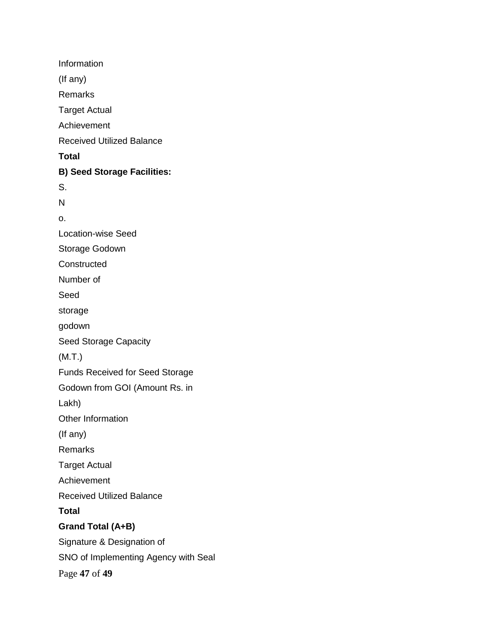Information (If any) Remarks Target Actual Achievement Received Utilized Balance **Total B) Seed Storage Facilities:** S. N o. Location-wise Seed Storage Godown **Constructed** Number of Seed storage godown Seed Storage Capacity (M.T.) Funds Received for Seed Storage Godown from GOI (Amount Rs. in Lakh) Other Information (If any) Remarks Target Actual Achievement Received Utilized Balance **Total Grand Total (A+B)** Signature & Designation of SNO of Implementing Agency with Seal Page **47** of **49**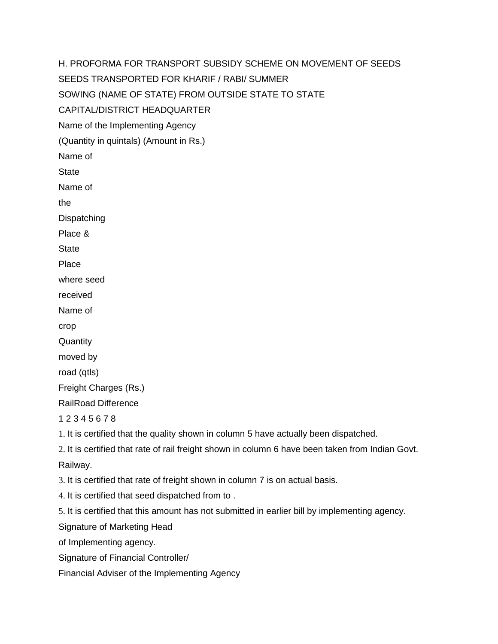H. PROFORMA FOR TRANSPORT SUBSIDY SCHEME ON MOVEMENT OF SEEDS SEEDS TRANSPORTED FOR KHARIF / RABI/ SUMMER SOWING (NAME OF STATE) FROM OUTSIDE STATE TO STATE CAPITAL/DISTRICT HEADQUARTER Name of the Implementing Agency (Quantity in quintals) (Amount in Rs.) Name of **State** Name of the **Dispatching** Place & **State** Place where seed received Name of crop **Quantity** moved by road (qtls) Freight Charges (Rs.) RailRoad Difference 1 2 3 4 5 6 7 8 1. It is certified that the quality shown in column 5 have actually been dispatched. 2. It is certified that rate of rail freight shown in column 6 have been taken from Indian Govt. Railway. 3. It is certified that rate of freight shown in column 7 is on actual basis. 4. It is certified that seed dispatched from to . 5. It is certified that this amount has not submitted in earlier bill by implementing agency. Signature of Marketing Head of Implementing agency. Signature of Financial Controller/

Financial Adviser of the Implementing Agency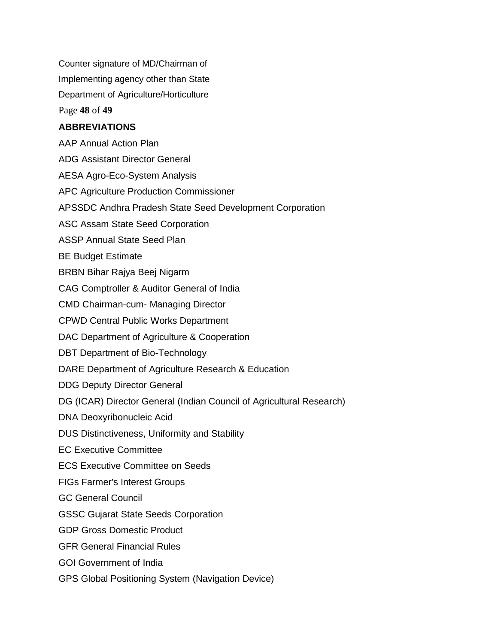Counter signature of MD/Chairman of Implementing agency other than State Department of Agriculture/Horticulture Page **48** of **49**

#### **ABBREVIATIONS**

AAP Annual Action Plan ADG Assistant Director General

AESA Agro-Eco-System Analysis

APC Agriculture Production Commissioner

APSSDC Andhra Pradesh State Seed Development Corporation

ASC Assam State Seed Corporation

ASSP Annual State Seed Plan

BE Budget Estimate

BRBN Bihar Rajya Beej Nigarm

CAG Comptroller & Auditor General of India

CMD Chairman-cum- Managing Director

CPWD Central Public Works Department

DAC Department of Agriculture & Cooperation

DBT Department of Bio-Technology

DARE Department of Agriculture Research & Education

DDG Deputy Director General

DG (ICAR) Director General (Indian Council of Agricultural Research)

DNA Deoxyribonucleic Acid

DUS Distinctiveness, Uniformity and Stability

EC Executive Committee

ECS Executive Committee on Seeds

FIGs Farmer's Interest Groups

GC General Council

GSSC Gujarat State Seeds Corporation

GDP Gross Domestic Product

GFR General Financial Rules

GOI Government of India

GPS Global Positioning System (Navigation Device)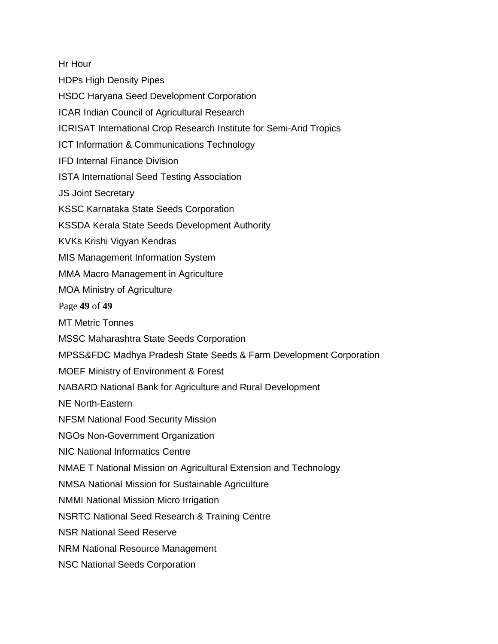Hr Hour

HDPs High Density Pipes

- HSDC Haryana Seed Development Corporation
- ICAR Indian Council of Agricultural Research
- ICRISAT International Crop Research Institute for Semi-Arid Tropics
- ICT Information & Communications Technology
- IFD Internal Finance Division
- ISTA International Seed Testing Association
- JS Joint Secretary
- KSSC Karnataka State Seeds Corporation
- KSSDA Kerala State Seeds Development Authority
- KVKs Krishi Vigyan Kendras
- MIS Management Information System
- MMA Macro Management in Agriculture
- MOA Ministry of Agriculture
- Page **49** of **49**
- MT Metric Tonnes
- MSSC Maharashtra State Seeds Corporation
- MPSS&FDC Madhya Pradesh State Seeds & Farm Development Corporation
- MOEF Ministry of Environment & Forest
- NABARD National Bank for Agriculture and Rural Development
- NE North-Eastern
- NFSM National Food Security Mission
- NGOs Non-Government Organization
- NIC National Informatics Centre
- NMAE T National Mission on Agricultural Extension and Technology
- NMSA National Mission for Sustainable Agriculture
- NMMI National Mission Micro Irrigation
- NSRTC National Seed Research & Training Centre
- NSR National Seed Reserve
- NRM National Resource Management
- NSC National Seeds Corporation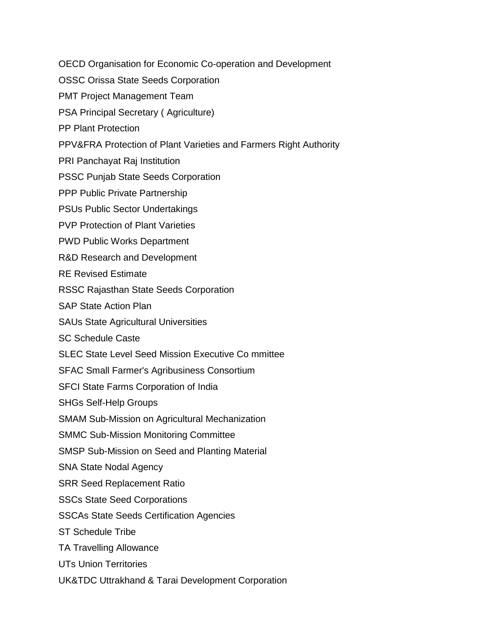OECD Organisation for Economic Co-operation and Development

- OSSC Orissa State Seeds Corporation
- PMT Project Management Team
- PSA Principal Secretary ( Agriculture)
- PP Plant Protection
- PPV&FRA Protection of Plant Varieties and Farmers Right Authority
- PRI Panchayat Raj Institution
- PSSC Punjab State Seeds Corporation
- PPP Public Private Partnership
- PSUs Public Sector Undertakings
- PVP Protection of Plant Varieties
- PWD Public Works Department
- R&D Research and Development
- RE Revised Estimate
- RSSC Rajasthan State Seeds Corporation
- SAP State Action Plan
- SAUs State Agricultural Universities
- SC Schedule Caste
- SLEC State Level Seed Mission Executive Co mmittee
- SFAC Small Farmer's Agribusiness Consortium
- SFCI State Farms Corporation of India
- SHGs Self-Help Groups
- SMAM Sub-Mission on Agricultural Mechanization
- SMMC Sub-Mission Monitoring Committee
- SMSP Sub-Mission on Seed and Planting Material
- SNA State Nodal Agency
- SRR Seed Replacement Ratio
- SSCs State Seed Corporations
- SSCAs State Seeds Certification Agencies
- ST Schedule Tribe
- TA Travelling Allowance
- UTs Union Territories
- UK&TDC Uttrakhand & Tarai Development Corporation